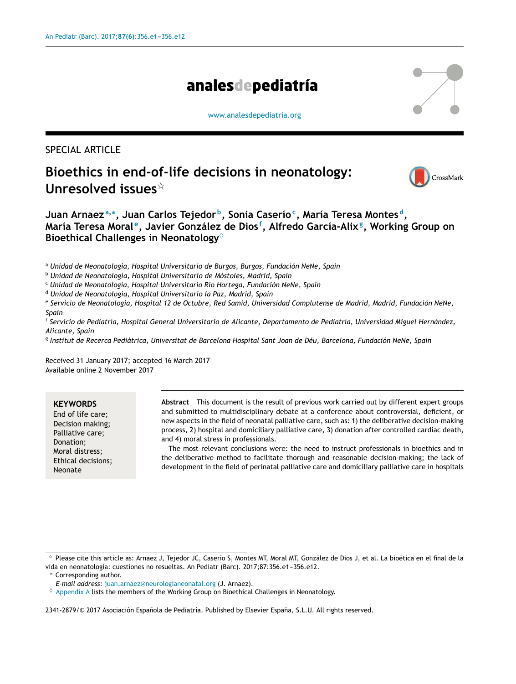# analesdepediatría

[www.analesdepediatria.org](http://www.analesdepediatria.org)

SPECIAL ARTICLE

# **Bioethics in end-of-life decisions in neonatology: Unresolved issues**-



## **Juan Arnaez <sup>a</sup>**,<sup>∗</sup> **, Juan Carlos Tejedor <sup>b</sup> , Sonia Caserío<sup>c</sup> , María Teresa Montes <sup>d</sup> , María Teresa Moral <sup>e</sup> , Javier González de Dios <sup>f</sup> , Alfredo García-Alix<sup>g</sup> , Working Group on Bioethical Challenges in Neonatology**♦

<sup>a</sup> *Unidad de Neonatología, Hospital Universitario de Burgos, Burgos, Fundación NeNe, Spain*

<sup>b</sup> *Unidad de Neonatología, Hospital Universitario de Móstoles, Madrid, Spain*

<sup>c</sup> *Unidad de Neonatología, Hospital Universitario Rio Hortega, Fundación NeNe, Spain*

<sup>d</sup> *Unidad de Neonatología, Hospital Universitario la Paz, Madrid, Spain*

<sup>e</sup> Servicio de Neonatología, Hospital 12 de Octubre, Red Samid, Universidad Complutense de Madrid, Madrid, Fundación NeNe, *Spain*

f *Servicio de Pediatría, Hospital General Universitario de Alicante, Departamento de Pediatría, Universidad Miguel Hernández, Alicante, Spain*

<sup>g</sup> Institut de Recerca Pediàtrica, Universitat de Barcelona Hospital Sant Joan de Déu, Barcelona, Fundación NeNe, Spain

Received 31 January 2017; accepted 16 March 2017 Available online 2 November 2017

#### **KEYWORDS**

End of life care; Decision making; Palliative care; Donation; Moral distress; Ethical decisions; Neonate

**Abstract** This document is the result of previous work carried out by different expert groups and submitted to multidisciplinary debate at a conference about controversial, deficient, or new aspects in the field of neonatal palliative care, such as: 1) the deliberative decision-making process, 2) hospital and domiciliary palliative care, 3) donation after controlled cardiac death, and 4) moral stress in professionals.

The most relevant conclusions were: the need to instruct professionals in bioethics and in the deliberative method to facilitate thorough and reasonable decision-making; the lack of development in the field of perinatal palliative care and domiciliary palliative care in hospitals

Corresponding author.

2341-2879/© 2017 Asociación Española de Pediatría. Published by Elsevier España, S.L.U. All rights reserved.

<sup>-</sup> Please cite this article as: Arnaez J, Tejedor JC, Caserío S, Montes MT, Moral MT, González de Dios J, et al. La bioética en el final de la vida en neonatología: cuestiones no resueltas. An Pediatr (Barc). 2017;87:356.e1-356.e12.

*E-mail address:* [juan.arnaez@neurologianeonatal.org](mailto:juan.arnaez@neurologianeonatal.org) (J. Arnaez).

 $\diamond$  [Appendix](#page-10-0) [A](#page-10-0) lists the members of the Working Group on Bioethical Challenges in Neonatology.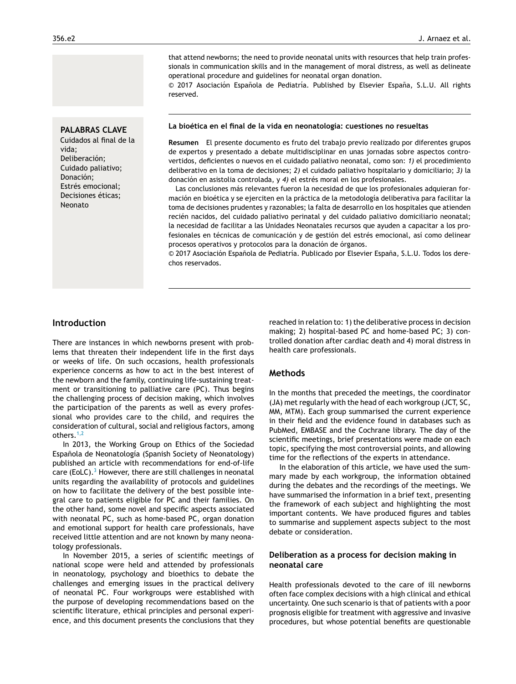vida;

**PALABRAS CLAVE** Cuidados al final de la

Deliberación; Cuidado paliativo;

Donación; Estrés emocional; Decisiones éticas;

Neonato

that attend newborns; the need to provide neonatal units with resources that help train professionals in communication skills and in the management of moral distress, as well as delineate operational procedure and guidelines for neonatal organ donation.

 $\odot$  2017 Asociación Española de Pediatría. Published by Elsevier España, S.L.U. All rights reserved.

#### **La bioética en el final de la vida en neonatología: cuestiones no resueltas**

**Resumen** El presente documento es fruto del trabajo previo realizado por diferentes grupos de expertos y presentado a debate multidisciplinar en unas jornadas sobre aspectos controvertidos, deficientes o nuevos en el cuidado paliativo neonatal, como son: *1)* el procedimiento deliberativo en la toma de decisiones; *2)* el cuidado paliativo hospitalario y domiciliario; *3)* la donación en asistolia controlada, y *4)* el estrés moral en los profesionales.

Las conclusiones más relevantes fueron la necesidad de que los profesionales adquieran formación en bioética y se ejerciten en la práctica de la metodología deliberativa para facilitar la toma de decisiones prudentes y razonables; la falta de desarrollo en los hospitales que atienden recién nacidos, del cuidado paliativo perinatal y del cuidado paliativo domiciliario neonatal; la necesidad de facilitar a las Unidades Neonatales recursos que ayuden a capacitar a los profesionales en técnicas de comunicación y de gestión del estrés emocional, así como delinear procesos operativos y protocolos para la donación de órganos.

© 2017 Asociación Española de Pediatría. Publicado por Elsevier España, S.L.U. Todos los derechos reservados.

## **Introduction**

There are instances in which newborns present with problems that threaten their independent life in the first days or weeks of life. On such occasions, health professionals experience concerns as how to act in the best interest of the newborn and the family, continuing life-sustaining treatment or transitioning to palliative care (PC). Thus begins the challenging process of decision making, which involves the participation of the parents as well as every professional who provides care to the child, and requires the consideration of cultural, social and religious factors, among others.[1,2](#page-10-0)

In 2013, the Working Group on Ethics of the Sociedad Española de Neonatología (Spanish Society of Neonatology) published an article with recommendations for end-of-life care (EoLC). $3$  [H](#page-10-0)owever, there are still challenges in neonatal units regarding the availability of protocols and guidelines on how to facilitate the delivery of the best possible integral care to patients eligible for PC and their families. On the other hand, some novel and specific aspects associated with neonatal PC, such as home-based PC, organ donation and emotional support for health care professionals, have received little attention and are not known by many neonatology professionals.

In November 2015, a series of scientific meetings of national scope were held and attended by professionals in neonatology, psychology and bioethics to debate the challenges and emerging issues in the practical delivery of neonatal PC. Four workgroups were established with the purpose of developing recommendations based on the scientific literature, ethical principles and personal experience, and this document presents the conclusions that they

reached in relation to: 1) the deliberative process in decision making; 2) hospital-based PC and home-based PC; 3) controlled donation after cardiac death and 4) moral distress in health care professionals.

#### **Methods**

In the months that preceded the meetings, the coordinator (JA) met regularly with the head of each workgroup (JCT, SC, MM, MTM). Each group summarised the current experience in their field and the evidence found in databases such as PubMed, EMBASE and the Cochrane library. The day of the scientific meetings, brief presentations were made on each topic, specifying the most controversial points, and allowing time for the reflections of the experts in attendance.

In the elaboration of this article, we have used the summary made by each workgroup, the information obtained during the debates and the recordings of the meetings. We have summarised the information in a brief text, presenting the framework of each subject and highlighting the most important contents. We have produced figures and tables to summarise and supplement aspects subject to the most debate or consideration.

#### **Deliberation as a process for decision making in neonatal care**

Health professionals devoted to the care of ill newborns often face complex decisions with a high clinical and ethical uncertainty. One such scenario is that of patients with a poor prognosis eligible for treatment with aggressive and invasive procedures, but whose potential benefits are questionable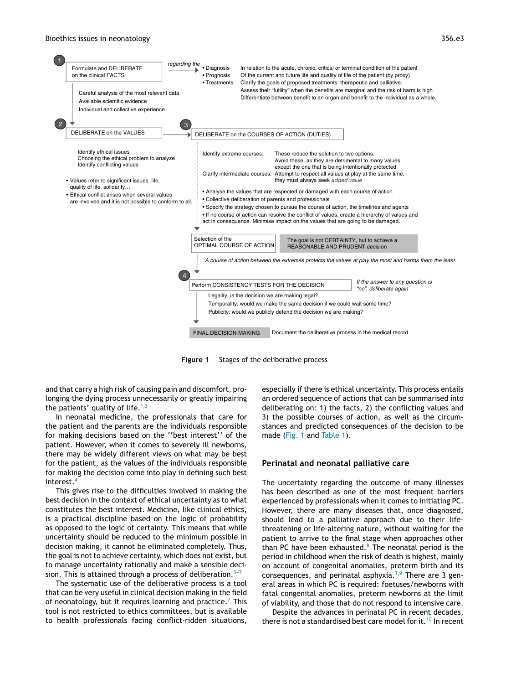

**Figure 1** Stages of the deliberative process

and that carry a high risk of causing pain and discomfort, prolonging the dying process unnecessarily or greatly impairing the patients' quality of life. $1,3$ 

In neonatal medicine, the professionals that care for the patient and the parents are the individuals responsible for making decisions based on the ''best interest'' of the patient. However, when it comes to severely ill newborns, there may be widely different views on what may be best for the patient, as the values of the individuals responsible for making the decision come into play in defining such best interest.[4](#page-10-0)

This gives rise to the difficulties involved in making the best decision in the context of ethical uncertainty as to what constitutes the best interest. Medicine, like clinical ethics, is a practical discipline based on the logic of probability as opposed to the logic of certainty. This means that while uncertainty should be reduced to the minimum possible in decision making, it cannot be eliminated completely. Thus, the goal is not to achieve certainty, which does not exist, but to manage uncertainty rationally and make a sensible decision. This is attained through a process of deliberation.  $5-7$ 

The systematic use of the deliberative process is a tool that can be very useful in clinical decision making in the field of neonatology, but it requires learning and practice.<sup>[7](#page-10-0)</sup> This tool is not restricted to ethics committees, but is available to health professionals facing conflict-ridden situations, especially if there is ethical uncertainty. This process entails an ordered sequence of actions that can be summarised into deliberating on: 1) the facts, 2) the conflicting values and 3) the possible courses of action, as well as the circumstances and predicted consequences of the decision to be made (Fig. 1 and [Table](#page-3-0) 1).

#### **Perinatal and neonatal palliative care**

The uncertainty regarding the outcome of many illnesses has been described as one of the most frequent barriers experienced by professionals when it comes to initiating PC. However, there are many diseases that, once diagnosed, should lead to a palliative approach due to their lifethreatening or life-altering nature, without waiting for the patient to arrive to the final stage when approaches other than PC have been exhausted. $8$  The neonatal period is the period in childhood when the risk of death is highest, mainly on account of congenital anomalies, preterm birth and its consequences, and perinatal asphyxia. $3,9$  There are 3 general areas in which PC is required: foetuses/newborns with fatal congenital anomalies, preterm newborns at the limit of viability, and those that do not respond to intensive care.

Despite the advances in perinatal PC in recent decades, there is not a standardised best care model for it.<sup>[10](#page-10-0)</sup> In recent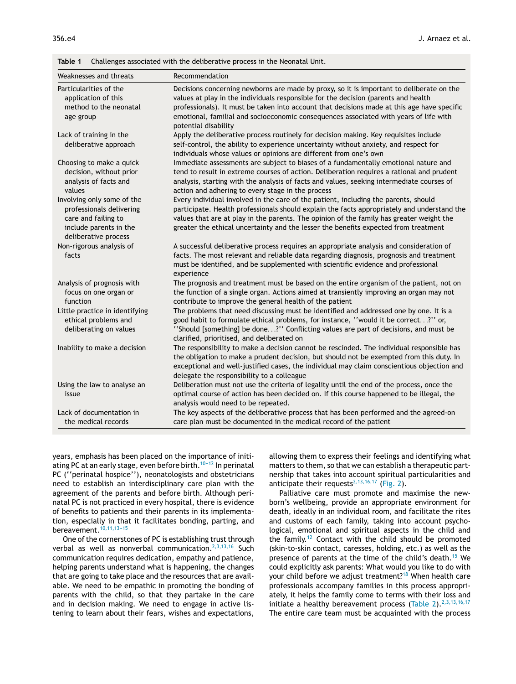| Weaknesses and threats                                                                                                          | Recommendation                                                                                                                                                                                                                                                                                                                                                                                 |
|---------------------------------------------------------------------------------------------------------------------------------|------------------------------------------------------------------------------------------------------------------------------------------------------------------------------------------------------------------------------------------------------------------------------------------------------------------------------------------------------------------------------------------------|
| Particularities of the<br>application of this<br>method to the neonatal<br>age group                                            | Decisions concerning newborns are made by proxy, so it is important to deliberate on the<br>values at play in the individuals responsible for the decision (parents and health<br>professionals). It must be taken into account that decisions made at this age have specific<br>emotional, familial and socioeconomic consequences associated with years of life with<br>potential disability |
| Lack of training in the<br>deliberative approach                                                                                | Apply the deliberative process routinely for decision making. Key requisites include<br>self-control, the ability to experience uncertainty without anxiety, and respect for<br>individuals whose values or opinions are different from one's own                                                                                                                                              |
| Choosing to make a quick<br>decision, without prior<br>analysis of facts and<br>values                                          | Immediate assessments are subject to biases of a fundamentally emotional nature and<br>tend to result in extreme courses of action. Deliberation requires a rational and prudent<br>analysis, starting with the analysis of facts and values, seeking intermediate courses of<br>action and adhering to every stage in the process                                                             |
| Involving only some of the<br>professionals delivering<br>care and failing to<br>include parents in the<br>deliberative process | Every individual involved in the care of the patient, including the parents, should<br>participate. Health professionals should explain the facts appropriately and understand the<br>values that are at play in the parents. The opinion of the family has greater weight the<br>greater the ethical uncertainty and the lesser the benefits expected from treatment                          |
| Non-rigorous analysis of<br>facts                                                                                               | A successful deliberative process requires an appropriate analysis and consideration of<br>facts. The most relevant and reliable data regarding diagnosis, prognosis and treatment<br>must be identified, and be supplemented with scientific evidence and professional<br>experience                                                                                                          |
| Analysis of prognosis with<br>focus on one organ or<br>function                                                                 | The prognosis and treatment must be based on the entire organism of the patient, not on<br>the function of a single organ. Actions aimed at transiently improving an organ may not<br>contribute to improve the general health of the patient                                                                                                                                                  |
| Little practice in identifying<br>ethical problems and<br>deliberating on values                                                | The problems that need discussing must be identified and addressed one by one. It is a<br>good habit to formulate ethical problems, for instance, "would it be correct?" or,<br>"Should [something] be done?" Conflicting values are part of decisions, and must be<br>clarified, prioritised, and deliberated on                                                                              |
| Inability to make a decision                                                                                                    | The responsibility to make a decision cannot be rescinded. The individual responsible has<br>the obligation to make a prudent decision, but should not be exempted from this duty. In<br>exceptional and well-justified cases, the individual may claim conscientious objection and<br>delegate the responsibility to a colleague                                                              |
| Using the law to analyse an<br>issue                                                                                            | Deliberation must not use the criteria of legality until the end of the process, once the<br>optimal course of action has been decided on. If this course happened to be illegal, the<br>analysis would need to be repeated.                                                                                                                                                                   |
| Lack of documentation in<br>the medical records                                                                                 | The key aspects of the deliberative process that has been performed and the agreed-on<br>care plan must be documented in the medical record of the patient                                                                                                                                                                                                                                     |

<span id="page-3-0"></span>**Table 1** Challenges associated with the deliberative process in the Neonatal Unit.

years, emphasis has been placed on the importance of initiating PC at an early stage, even before birth.<sup>10-12</sup> In perinatal PC (''perinatal hospice''), neonatologists and obstetricians need to establish an interdisciplinary care plan with the agreement of the parents and before birth. Although perinatal PC is not practiced in every hospital, there is evidence of benefits to patients and their parents in its implementation, especially in that it facilitates bonding, parting, and bereavement.<sup>10,11,13-15</sup>

One of the cornerstones of PC is establishing trust through verbal as well as nonverbal communication.<sup>[2,3,13,16](#page-10-0)</sup> Such communication requires dedication, empathy and patience, helping parents understand what is happening, the changes that are going to take place and the resources that are available. We need to be empathic in promoting the bonding of parents with the child, so that they partake in the care and in decision making. We need to engage in active listening to learn about their fears, wishes and expectations,

allowing them to express their feelings and identifying what matters to them, so that we can establish a therapeutic partnership that takes into account spiritual particularities and anticipate their requests<sup>[2,13,16,17](#page-10-0)</sup> ([Fig.](#page-4-0) 2).

Palliative care must promote and maximise the newborn's wellbeing, provide an appropriate environment for death, ideally in an individual room, and facilitate the rites and customs of each family, taking into account psychological, emotional and spiritual aspects in the child and the family.<sup>[12](#page-10-0)</sup> Contact with the child should be promoted (skin-to-skin contact, caresses, holding, etc.) as well as the presence of parents at the time of the child's death.<sup>[15](#page-10-0)</sup> We could explicitly ask parents: What would you like to do with your child before we adjust treatment?<sup>[18](#page-10-0)</sup> When health care professionals accompany families in this process appropriately, it helps the family come to terms with their loss and initiate a healthy bereavement process [\(Table](#page-5-0) 2). $2,3,13,16,17$ The entire care team must be acquainted with the process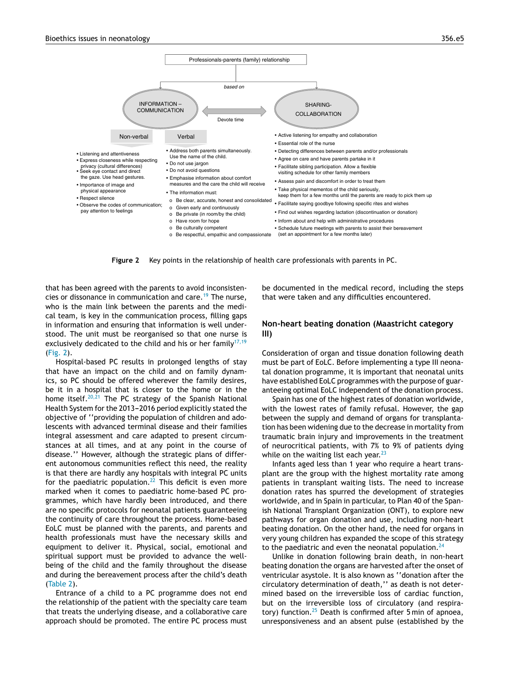<span id="page-4-0"></span>

**Figure 2** Key points in the relationship of health care professionals with parents in PC.

that has been agreed with the parents to avoid inconsisten-cies or dissonance in communication and care.<sup>[19](#page-10-0)</sup> The nurse, who is the main link between the parents and the medical team, is key in the communication process, filling gaps in information and ensuring that information is well understood. The unit must be reorganised so that one nurse is exclusively dedicated to the child and his or her family<sup>[17,19](#page-10-0)</sup> (Fig. 2).

Hospital-based PC results in prolonged lengths of stay that have an impact on the child and on family dynamics, so PC should be offered wherever the family desires, be it in a hospital that is closer to the home or in the home itself.<sup>[20,21](#page-10-0)</sup> The PC strategy of the Spanish National Health System for the 2013-2016 period explicitly stated the objective of ''providing the population of children and adolescents with advanced terminal disease and their families integral assessment and care adapted to present circumstances at all times, and at any point in the course of disease.'' However, although the strategic plans of different autonomous communities reflect this need, the reality is that there are hardly any hospitals with integral PC units for the paediatric population.<sup>[22](#page-10-0)</sup> This deficit is even more marked when it comes to paediatric home-based PC programmes, which have hardly been introduced, and there are no specific protocols for neonatal patients guaranteeing the continuity of care throughout the process. Home-based EoLC must be planned with the parents, and parents and health professionals must have the necessary skills and equipment to deliver it. Physical, social, emotional and spiritual support must be provided to advance the wellbeing of the child and the family throughout the disease and during the bereavement process after the child's death ([Table](#page-5-0) 2).

Entrance of a child to a PC programme does not end the relationship of the patient with the specialty care team that treats the underlying disease, and a collaborative care approach should be promoted. The entire PC process must be documented in the medical record, including the steps that were taken and any difficulties encountered.

### **Non-heart beating donation (Maastricht category III)**

Consideration of organ and tissue donation following death must be part of EoLC. Before implementing a type III neonatal donation programme, it is important that neonatal units have established EoLC programmes with the purpose of guaranteeing optimal EoLC independent of the donation process.

Spain has one of the highest rates of donation worldwide, with the lowest rates of family refusal. However, the gap between the supply and demand of organs for transplantation has been widening due to the decrease in mortality from traumatic brain injury and improvements in the treatment of neurocritical patients, with 7% to 9% of patients dying while on the waiting list each year.  $23$ 

Infants aged less than 1 year who require a heart transplant are the group with the highest mortality rate among patients in transplant waiting lists. The need to increase donation rates has spurred the development of strategies worldwide, and in Spain in particular, to Plan 40 of the Spanish National Transplant Organization (ONT), to explore new pathways for organ donation and use, including non-heart beating donation. On the other hand, the need for organs in very young children has expanded the scope of this strategy to the paediatric and even the neonatal population. $24$ 

Unlike in donation following brain death, in non-heart beating donation the organs are harvested after the onset of ventricular asystole. It is also known as ''donation after the circulatory determination of death,'' as death is not determined based on the irreversible loss of cardiac function, but on the irreversible loss of circulatory (and respira-tory) function.<sup>[25](#page-10-0)</sup> Death is confirmed after 5 min of apnoea, unresponsiveness and an absent pulse (established by the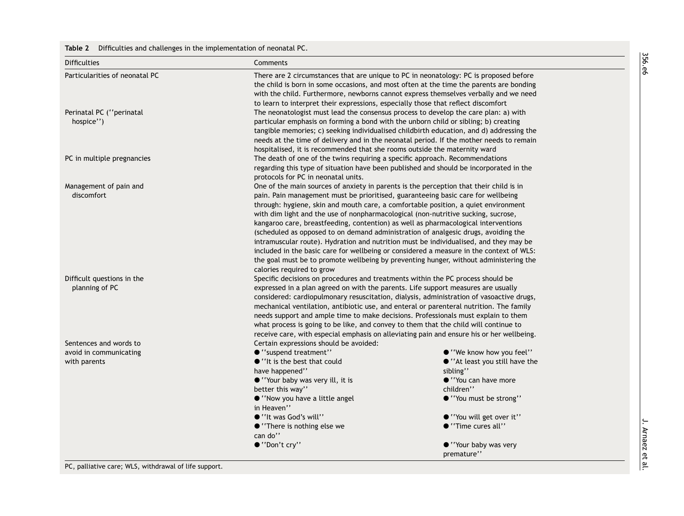<span id="page-5-0"></span>**Table 2** Difficulties and challenges in the implementation of neonatal PC.

| Ε.<br>× |
|---------|
| г       |
| IJ      |
|         |

| <b>Difficulties</b>            | Comments                                                                                                                                                                            |                                |
|--------------------------------|-------------------------------------------------------------------------------------------------------------------------------------------------------------------------------------|--------------------------------|
| Particularities of neonatal PC | There are 2 circumstances that are unique to PC in neonatology: PC is proposed before<br>the child is born in some occasions, and most often at the time the parents are bonding    |                                |
|                                | with the child. Furthermore, newborns cannot express themselves verbally and we need                                                                                                |                                |
|                                | to learn to interpret their expressions, especially those that reflect discomfort                                                                                                   |                                |
| Perinatal PC ("perinatal       | The neonatologist must lead the consensus process to develop the care plan: a) with                                                                                                 |                                |
| hospice'')                     | particular emphasis on forming a bond with the unborn child or sibling; b) creating                                                                                                 |                                |
|                                | tangible memories; c) seeking individualised childbirth education, and d) addressing the<br>needs at the time of delivery and in the neonatal period. If the mother needs to remain |                                |
|                                | hospitalised, it is recommended that she rooms outside the maternity ward                                                                                                           |                                |
| PC in multiple pregnancies     | The death of one of the twins requiring a specific approach. Recommendations                                                                                                        |                                |
|                                | regarding this type of situation have been published and should be incorporated in the                                                                                              |                                |
|                                | protocols for PC in neonatal units.                                                                                                                                                 |                                |
| Management of pain and         | One of the main sources of anxiety in parents is the perception that their child is in                                                                                              |                                |
| discomfort                     | pain. Pain management must be prioritised, guaranteeing basic care for wellbeing                                                                                                    |                                |
|                                | through: hygiene, skin and mouth care, a comfortable position, a quiet environment                                                                                                  |                                |
|                                | with dim light and the use of nonpharmacological (non-nutritive sucking, sucrose,                                                                                                   |                                |
|                                | kangaroo care, breastfeeding, contention) as well as pharmacological interventions                                                                                                  |                                |
|                                | (scheduled as opposed to on demand administration of analgesic drugs, avoiding the                                                                                                  |                                |
|                                | intramuscular route). Hydration and nutrition must be individualised, and they may be                                                                                               |                                |
|                                | included in the basic care for wellbeing or considered a measure in the context of WLS:                                                                                             |                                |
|                                | the goal must be to promote wellbeing by preventing hunger, without administering the                                                                                               |                                |
|                                | calories required to grow                                                                                                                                                           |                                |
| Difficult questions in the     | Specific decisions on procedures and treatments within the PC process should be                                                                                                     |                                |
| planning of PC                 | expressed in a plan agreed on with the parents. Life support measures are usually                                                                                                   |                                |
|                                | considered: cardiopulmonary resuscitation, dialysis, administration of vasoactive drugs,                                                                                            |                                |
|                                | mechanical ventilation, antibiotic use, and enteral or parenteral nutrition. The family                                                                                             |                                |
|                                | needs support and ample time to make decisions. Professionals must explain to them                                                                                                  |                                |
|                                | what process is going to be like, and convey to them that the child will continue to<br>receive care, with especial emphasis on alleviating pain and ensure his or her wellbeing.   |                                |
| Sentences and words to         | Certain expressions should be avoided:                                                                                                                                              |                                |
| avoid in communicating         | ● "suspend treatment"                                                                                                                                                               | ● "We know how you feel"       |
| with parents                   | ● "It is the best that could                                                                                                                                                        | ● "At least you still have the |
|                                | have happened"                                                                                                                                                                      | sibling"                       |
|                                | ● "Your baby was very ill, it is                                                                                                                                                    | ● "You can have more           |
|                                | better this way"                                                                                                                                                                    | children''                     |
|                                | ● "Now you have a little angel                                                                                                                                                      | ● "You must be strong"         |
|                                | in Heaven"                                                                                                                                                                          |                                |
|                                | ● "It was God's will"                                                                                                                                                               | ● "You will get over it"       |
|                                | ● "There is nothing else we                                                                                                                                                         | ● "Time cures all"             |
|                                | can do"                                                                                                                                                                             |                                |
|                                | ● "Don't cry"                                                                                                                                                                       | ● "Your baby was very          |
|                                |                                                                                                                                                                                     | premature"                     |

PC, palliative care; WLS, withdrawal of life support.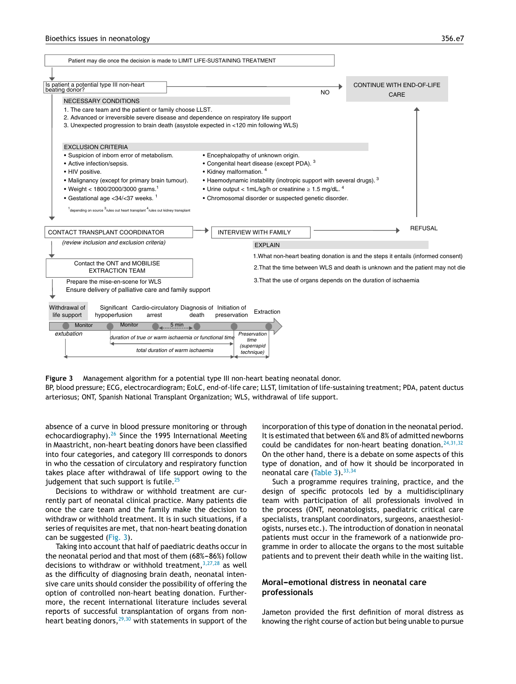

**Figure 3** Management algorithm for a potential type III non-heart beating neonatal donor. BP, blood pressure; ECG, electrocardiogram; EoLC, end-of-life care; LLST, limitation of life-sustaining treatment; PDA, patent ductus arteriosus; ONT, Spanish National Transplant Organization; WLS, withdrawal of life support.

absence of a curve in blood pressure monitoring or through echocardiography).<sup>[26](#page-10-0)</sup> Since the 1995 International Meeting in Maastricht, non-heart beating donors have been classified into four categories, and category III corresponds to donors in who the cessation of circulatory and respiratory function takes place after withdrawal of life support owing to the judgement that such support is futile. $25$ 

Decisions to withdraw or withhold treatment are currently part of neonatal clinical practice. Many patients die once the care team and the family make the decision to withdraw or withhold treatment. It is in such situations, if a series of requisites are met, that non-heart beating donation can be suggested (Fig. 3).

Taking into account that half of paediatric deaths occur in the neonatal period and that most of them (68%-86%) follow decisions to withdraw or withhold treatment,  $3,27,28$  as well as the difficulty of diagnosing brain death, neonatal intensive care units should consider the possibility of offering the option of controlled non-heart beating donation. Furthermore, the recent international literature includes several reports of successful transplantation of organs from nonheart beating donors,  $29,30$  with statements in support of the incorporation of this type of donation in the neonatal period. It is estimated that between 6% and 8% of admitted newborns could be candidates for non-heart beating donation.  $24,31,32$ On the other hand, there is a debate on some aspects of this type of donation, and of how it should be incorporated in neonatal care ([Table](#page-7-0) 3). [33,34](#page-10-0)

Such a programme requires training, practice, and the design of specific protocols led by a multidisciplinary team with participation of all professionals involved in the process (ONT, neonatologists, paediatric critical care specialists, transplant coordinators, surgeons, anaesthesiologists, nurses etc.). The introduction of donation in neonatal patients must occur in the framework of a nationwide programme in order to allocate the organs to the most suitable patients and to prevent their death while in the waiting list.

#### **Moral---emotional distress in neonatal care professionals**

Jameton provided the first definition of moral distress as knowing the right course of action but being unable to pursue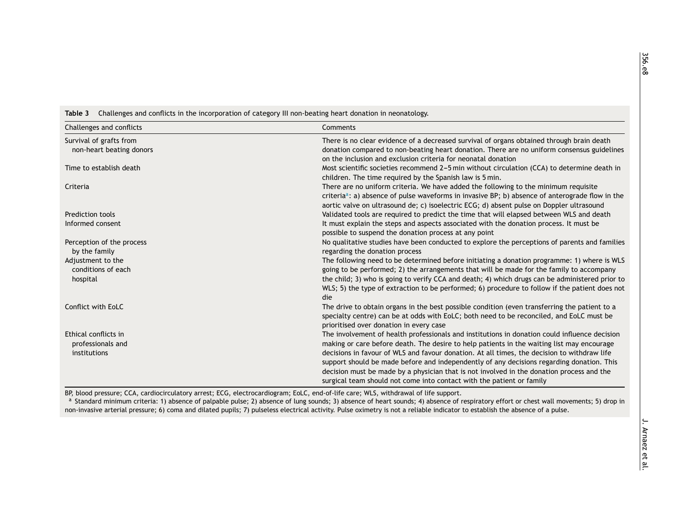| Challenges and conflicts  | Comments                                                                                                    |
|---------------------------|-------------------------------------------------------------------------------------------------------------|
| Survival of grafts from   | There is no clear evidence of a decreased survival of organs obtained through brain death                   |
| non-heart beating donors  | donation compared to non-beating heart donation. There are no uniform consensus guidelines                  |
|                           | on the inclusion and exclusion criteria for neonatal donation                                               |
| Time to establish death   | Most scientific societies recommend 2-5 min without circulation (CCA) to determine death in                 |
|                           | children. The time required by the Spanish law is 5 min.                                                    |
| Criteria                  | There are no uniform criteria. We have added the following to the minimum requisite                         |
|                           | criteria <sup>3</sup> : a) absence of pulse waveforms in invasive BP; b) absence of anterograde flow in the |
|                           | aortic valve on ultrasound de; c) isoelectric ECG; d) absent pulse on Doppler ultrasound                    |
| <b>Prediction tools</b>   | Validated tools are required to predict the time that will elapsed between WLS and death                    |
| Informed consent          | It must explain the steps and aspects associated with the donation process. It must be                      |
|                           | possible to suspend the donation process at any point                                                       |
| Perception of the process | No qualitative studies have been conducted to explore the perceptions of parents and families               |
| by the family             | regarding the donation process                                                                              |
| Adjustment to the         | The following need to be determined before initiating a donation programme: 1) where is WLS                 |
| conditions of each        | going to be performed; 2) the arrangements that will be made for the family to accompany                    |
| hospital                  | the child; 3) who is going to verify CCA and death; 4) which drugs can be administered prior to             |
|                           | WLS; 5) the type of extraction to be performed; 6) procedure to follow if the patient does not              |
|                           | die                                                                                                         |
| Conflict with EoLC        | The drive to obtain organs in the best possible condition (even transferring the patient to a               |
|                           | specialty centre) can be at odds with EoLC; both need to be reconciled, and EoLC must be                    |
|                           | prioritised over donation in every case                                                                     |
| Ethical conflicts in      | The involvement of health professionals and institutions in donation could influence decision               |
| professionals and         | making or care before death. The desire to help patients in the waiting list may encourage                  |
| institutions              | decisions in favour of WLS and favour donation. At all times, the decision to withdraw life                 |
|                           | support should be made before and independently of any decisions regarding donation. This                   |
|                           | decision must be made by a physician that is not involved in the donation process and the                   |
|                           | surgical team should not come into contact with the patient or family                                       |

<span id="page-7-0"></span>**Table 3** Challenges and conflicts in the incorporation of category III non-beating heart donation in neonatology.

BP, blood pressure; CCA, cardiocirculatory arrest; ECG, electrocardiogram; EoLC, end-of-life care; WLS, withdrawal of life support.

<sup>a</sup> Standard minimum criteria: 1) absence of palpable pulse; 2) absence of lung sounds; 3) absence of heart sounds; 4) absence of respiratory effort or chest wall movements; 5) drop in non-invasive arterial pressure; 6) coma and dilated pupils; 7) pulseless electrical activity. Pulse oximetry is not a reliable indicator to establish the absence of a pulse.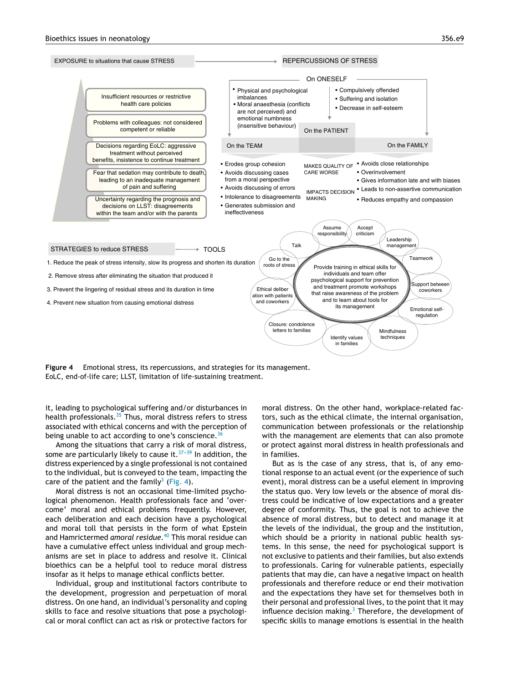#### EXPOSURE to situations that cause STRESS

#### REPERCUSSIONS OF STRESS

<span id="page-8-0"></span>

**Figure 4** Emotional stress, its repercussions, and strategies for its management. EoLC, end-of-life care; LLST, limitation of life-sustaining treatment.

it, leading to psychological suffering and/or disturbances in health professionals.<sup>[35](#page-10-0)</sup> Thus, moral distress refers to stress associated with ethical concerns and with the perception of being unable to act according to one's conscience.  $36$ 

Among the situations that carry a risk of moral distress, some are particularly likely to cause it.  $37-39$  In addition, the distress experienced by a single professional is not contained to the individual, but is conveyed to the team, impacting the care of the patient and the family<sup>[3](#page-10-0)</sup> (Fig. 4).

Moral distress is not an occasional time-limited psychological phenomenon. Health professionals face and 'overcome' moral and ethical problems frequently. However, each deliberation and each decision have a psychological and moral toll that persists in the form of what Epstein and Hamrictermed *amoral residue.*[40](#page-11-0) This moral residue can have a cumulative effect unless individual and group mechanisms are set in place to address and resolve it. Clinical bioethics can be a helpful tool to reduce moral distress insofar as it helps to manage ethical conflicts better.

Individual, group and institutional factors contribute to the development, progression and perpetuation of moral distress. On one hand, an individual's personality and coping skills to face and resolve situations that pose a psychological or moral conflict can act as risk or protective factors for moral distress. On the other hand, workplace-related factors, such as the ethical climate, the internal organisation, communication between professionals or the relationship with the management are elements that can also promote or protect against moral distress in health professionals and in families.

But as is the case of any stress, that is, of any emotional response to an actual event (or the experience of such event), moral distress can be a useful element in improving the status quo. Very low levels or the absence of moral distress could be indicative of low expectations and a greater degree of conformity. Thus, the goal is not to achieve the absence of moral distress, but to detect and manage it at the levels of the individual, the group and the institution, which should be a priority in national public health systems. In this sense, the need for psychological support is not exclusive to patients and their families, but also extends to professionals. Caring for vulnerable patients, especially patients that may die, can have a negative impact on health professionals and therefore reduce or end their motivation and the expectations they have set for themselves both in their personal and professional lives, to the point that it may influence decision making.<sup>[3](#page-10-0)</sup> Therefore, the development of specific skills to manage emotions is essential in the health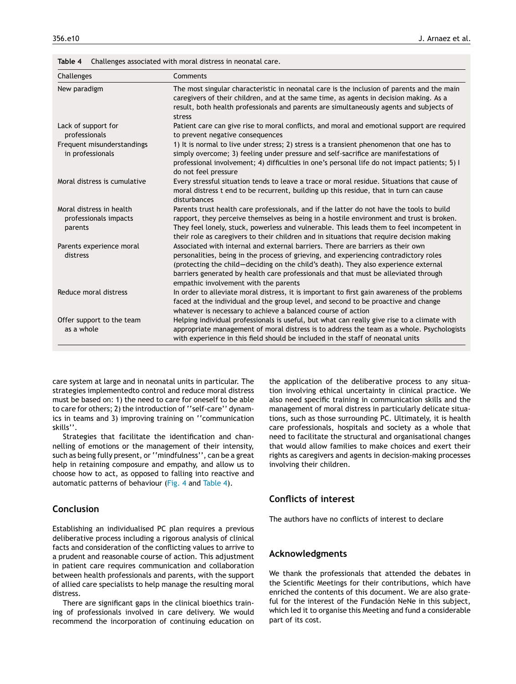| Challenges                                                   | Comments                                                                                                                                                                                                                                                                                                                                                                                        |
|--------------------------------------------------------------|-------------------------------------------------------------------------------------------------------------------------------------------------------------------------------------------------------------------------------------------------------------------------------------------------------------------------------------------------------------------------------------------------|
| New paradigm                                                 | The most singular characteristic in neonatal care is the inclusion of parents and the main<br>caregivers of their children, and at the same time, as agents in decision making. As a<br>result, both health professionals and parents are simultaneously agents and subjects of<br>stress                                                                                                       |
| Lack of support for<br>professionals                         | Patient care can give rise to moral conflicts, and moral and emotional support are required<br>to prevent negative consequences                                                                                                                                                                                                                                                                 |
| Frequent misunderstandings<br>in professionals               | 1) It is normal to live under stress; 2) stress is a transient phenomenon that one has to<br>simply overcome; 3) feeling under pressure and self-sacrifice are manifestations of<br>professional involvement; 4) difficulties in one's personal life do not impact patients; 5) I<br>do not feel pressure                                                                                       |
| Moral distress is cumulative                                 | Every stressful situation tends to leave a trace or moral residue. Situations that cause of<br>moral distress t end to be recurrent, building up this residue, that in turn can cause<br>disturbances                                                                                                                                                                                           |
| Moral distress in health<br>professionals impacts<br>parents | Parents trust health care professionals, and if the latter do not have the tools to build<br>rapport, they perceive themselves as being in a hostile environment and trust is broken.<br>They feel lonely, stuck, powerless and vulnerable. This leads them to feel incompetent in<br>their role as caregivers to their children and in situations that require decision making                 |
| Parents experience moral<br>distress                         | Associated with internal and external barriers. There are barriers as their own<br>personalities, being in the process of grieving, and experiencing contradictory roles<br>(protecting the child-deciding on the child's death). They also experience external<br>barriers generated by health care professionals and that must be alleviated through<br>empathic involvement with the parents |
| Reduce moral distress                                        | In order to alleviate moral distress, it is important to first gain awareness of the problems<br>faced at the individual and the group level, and second to be proactive and change<br>whatever is necessary to achieve a balanced course of action                                                                                                                                             |
| Offer support to the team<br>as a whole                      | Helping individual professionals is useful, but what can really give rise to a climate with<br>appropriate management of moral distress is to address the team as a whole. Psychologists<br>with experience in this field should be included in the staff of neonatal units                                                                                                                     |

**Table 4** Challenges associated with moral distress in neonatal care.

care system at large and in neonatal units in particular. The strategies implementedto control and reduce moral distress must be based on: 1) the need to care for oneself to be able to care for others; 2) the introduction of ''self-care'' dynamics in teams and 3) improving training on ''communication skills''.

Strategies that facilitate the identification and channelling of emotions or the management of their intensity, such as being fully present, or''mindfulness'', can be a great help in retaining composure and empathy, and allow us to choose how to act, as opposed to falling into reactive and automatic patterns of behaviour [\(Fig.](#page-8-0) 4 and Table 4).

## **Conclusion**

Establishing an individualised PC plan requires a previous deliberative process including a rigorous analysis of clinical facts and consideration of the conflicting values to arrive to a prudent and reasonable course of action. This adjustment in patient care requires communication and collaboration between health professionals and parents, with the support of allied care specialists to help manage the resulting moral distress.

There are significant gaps in the clinical bioethics training of professionals involved in care delivery. We would recommend the incorporation of continuing education on the application of the deliberative process to any situation involving ethical uncertainty in clinical practice. We also need specific training in communication skills and the management of moral distress in particularly delicate situations, such as those surrounding PC. Ultimately, it is health care professionals, hospitals and society as a whole that need to facilitate the structural and organisational changes that would allow families to make choices and exert their rights as caregivers and agents in decision-making processes involving their children.

## **Conflicts of interest**

The authors have no conflicts of interest to declare

### **Acknowledgments**

We thank the professionals that attended the debates in the Scientific Meetings for their contributions, which have enriched the contents of this document. We are also grateful for the interest of the Fundación NeNe in this subject, which led it to organise this Meeting and fund a considerable part of its cost.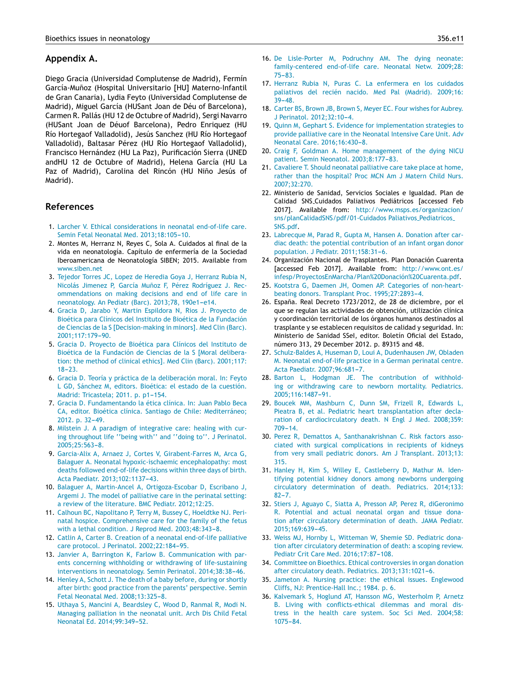#### <span id="page-10-0"></span>**Appendix A.**

Diego Gracia (Universidad Complutense de Madrid), Fermín García-Muñoz (Hospital Universitario [HU] Materno-Infantil de Gran Canaria), Lydia Feyto (Universidad Complutense de Madrid), Miguel García (HUSant Joan de Déu of Barcelona), Carmen R. Pallás (HU 12 de Octubre of Madrid), Sergi Navarro (HUSant Joan de Déuof Barcelona), Pedro Enriquez (HU Río Hortegaof Valladolid), Jesús Sanchez (HU Río Hortegaof Valladolid), Baltasar Pérez (HU Río Hortegaof Valladolid), Francisco Hernández (HU La Paz), Purificación Sierra (UNED andHU 12 de Octubre of Madrid), Helena García (HU La Paz of Madrid), Carolina del Rincón (HU Niño Jesús of Madrid).

## **References**

- 1. [Larcher](http://refhub.elsevier.com/S2341-2879(17)30194-1/sbref0205) [V.](http://refhub.elsevier.com/S2341-2879(17)30194-1/sbref0205) [Ethical](http://refhub.elsevier.com/S2341-2879(17)30194-1/sbref0205) [considerations](http://refhub.elsevier.com/S2341-2879(17)30194-1/sbref0205) [in](http://refhub.elsevier.com/S2341-2879(17)30194-1/sbref0205) [neonatal](http://refhub.elsevier.com/S2341-2879(17)30194-1/sbref0205) [end-of-life](http://refhub.elsevier.com/S2341-2879(17)30194-1/sbref0205) [care.](http://refhub.elsevier.com/S2341-2879(17)30194-1/sbref0205) [Semin](http://refhub.elsevier.com/S2341-2879(17)30194-1/sbref0205) [Fetal](http://refhub.elsevier.com/S2341-2879(17)30194-1/sbref0205) [Neonatal](http://refhub.elsevier.com/S2341-2879(17)30194-1/sbref0205) [Med.](http://refhub.elsevier.com/S2341-2879(17)30194-1/sbref0205) [2013;18:105](http://refhub.elsevier.com/S2341-2879(17)30194-1/sbref0205)-[10.](http://refhub.elsevier.com/S2341-2879(17)30194-1/sbref0205)
- 2. Montes M, Herranz N, Reyes C, Sola A. Cuidados al final de la vida en neonatología. Capítulo de enfermería de la Sociedad Iberoamericana de Neonatología SIBEN; 2015. Available from [www.siben.net](http://www.siben.net/)
- 3. [Tejedor](http://refhub.elsevier.com/S2341-2879(17)30194-1/sbref0215) [Torres](http://refhub.elsevier.com/S2341-2879(17)30194-1/sbref0215) [JC,](http://refhub.elsevier.com/S2341-2879(17)30194-1/sbref0215) [Lopez](http://refhub.elsevier.com/S2341-2879(17)30194-1/sbref0215) [de](http://refhub.elsevier.com/S2341-2879(17)30194-1/sbref0215) [Heredia](http://refhub.elsevier.com/S2341-2879(17)30194-1/sbref0215) [Goya](http://refhub.elsevier.com/S2341-2879(17)30194-1/sbref0215) [J,](http://refhub.elsevier.com/S2341-2879(17)30194-1/sbref0215) [Herranz](http://refhub.elsevier.com/S2341-2879(17)30194-1/sbref0215) [Rubia](http://refhub.elsevier.com/S2341-2879(17)30194-1/sbref0215) [N,](http://refhub.elsevier.com/S2341-2879(17)30194-1/sbref0215) [Nicolás](http://refhub.elsevier.com/S2341-2879(17)30194-1/sbref0215) [Jimenez](http://refhub.elsevier.com/S2341-2879(17)30194-1/sbref0215) [P,](http://refhub.elsevier.com/S2341-2879(17)30194-1/sbref0215) [García](http://refhub.elsevier.com/S2341-2879(17)30194-1/sbref0215) Muñoz [F,](http://refhub.elsevier.com/S2341-2879(17)30194-1/sbref0215) [Pérez](http://refhub.elsevier.com/S2341-2879(17)30194-1/sbref0215) [Rodríguez](http://refhub.elsevier.com/S2341-2879(17)30194-1/sbref0215) [J.](http://refhub.elsevier.com/S2341-2879(17)30194-1/sbref0215) [Rec](http://refhub.elsevier.com/S2341-2879(17)30194-1/sbref0215)[ommendations](http://refhub.elsevier.com/S2341-2879(17)30194-1/sbref0215) [on](http://refhub.elsevier.com/S2341-2879(17)30194-1/sbref0215) [making](http://refhub.elsevier.com/S2341-2879(17)30194-1/sbref0215) [decisions](http://refhub.elsevier.com/S2341-2879(17)30194-1/sbref0215) [and](http://refhub.elsevier.com/S2341-2879(17)30194-1/sbref0215) [end](http://refhub.elsevier.com/S2341-2879(17)30194-1/sbref0215) [of](http://refhub.elsevier.com/S2341-2879(17)30194-1/sbref0215) [life](http://refhub.elsevier.com/S2341-2879(17)30194-1/sbref0215) [care](http://refhub.elsevier.com/S2341-2879(17)30194-1/sbref0215) [in](http://refhub.elsevier.com/S2341-2879(17)30194-1/sbref0215) [neonatology.](http://refhub.elsevier.com/S2341-2879(17)30194-1/sbref0215) [An](http://refhub.elsevier.com/S2341-2879(17)30194-1/sbref0215) [Pediatr](http://refhub.elsevier.com/S2341-2879(17)30194-1/sbref0215) [\(Barc\).](http://refhub.elsevier.com/S2341-2879(17)30194-1/sbref0215) [2013;78,](http://refhub.elsevier.com/S2341-2879(17)30194-1/sbref0215) 190e1-e14.
- 4. [Gracia](http://refhub.elsevier.com/S2341-2879(17)30194-1/sbref0220) [D,](http://refhub.elsevier.com/S2341-2879(17)30194-1/sbref0220) [Jarabo](http://refhub.elsevier.com/S2341-2879(17)30194-1/sbref0220) [Y,](http://refhub.elsevier.com/S2341-2879(17)30194-1/sbref0220) [Martin](http://refhub.elsevier.com/S2341-2879(17)30194-1/sbref0220) [Espildora](http://refhub.elsevier.com/S2341-2879(17)30194-1/sbref0220) [N,](http://refhub.elsevier.com/S2341-2879(17)30194-1/sbref0220) [Rios](http://refhub.elsevier.com/S2341-2879(17)30194-1/sbref0220) [J.](http://refhub.elsevier.com/S2341-2879(17)30194-1/sbref0220) [Proyecto](http://refhub.elsevier.com/S2341-2879(17)30194-1/sbref0220) [de](http://refhub.elsevier.com/S2341-2879(17)30194-1/sbref0220) [Bioética](http://refhub.elsevier.com/S2341-2879(17)30194-1/sbref0220) [para](http://refhub.elsevier.com/S2341-2879(17)30194-1/sbref0220) [Clínicos](http://refhub.elsevier.com/S2341-2879(17)30194-1/sbref0220) [del](http://refhub.elsevier.com/S2341-2879(17)30194-1/sbref0220) [Instituto](http://refhub.elsevier.com/S2341-2879(17)30194-1/sbref0220) [de](http://refhub.elsevier.com/S2341-2879(17)30194-1/sbref0220) [Bioética](http://refhub.elsevier.com/S2341-2879(17)30194-1/sbref0220) [de](http://refhub.elsevier.com/S2341-2879(17)30194-1/sbref0220) [la](http://refhub.elsevier.com/S2341-2879(17)30194-1/sbref0220) [Fundación](http://refhub.elsevier.com/S2341-2879(17)30194-1/sbref0220) [de](http://refhub.elsevier.com/S2341-2879(17)30194-1/sbref0220) [Ciencias](http://refhub.elsevier.com/S2341-2879(17)30194-1/sbref0220) [de](http://refhub.elsevier.com/S2341-2879(17)30194-1/sbref0220) [la](http://refhub.elsevier.com/S2341-2879(17)30194-1/sbref0220) [S](http://refhub.elsevier.com/S2341-2879(17)30194-1/sbref0220) [\[Decision-making](http://refhub.elsevier.com/S2341-2879(17)30194-1/sbref0220) [in](http://refhub.elsevier.com/S2341-2879(17)30194-1/sbref0220) [minors\].](http://refhub.elsevier.com/S2341-2879(17)30194-1/sbref0220) [Med](http://refhub.elsevier.com/S2341-2879(17)30194-1/sbref0220) [Clin](http://refhub.elsevier.com/S2341-2879(17)30194-1/sbref0220) [\(Barc\).](http://refhub.elsevier.com/S2341-2879(17)30194-1/sbref0220) 2001;117:179-90.
- 5. [Gracia](http://refhub.elsevier.com/S2341-2879(17)30194-1/sbref0225) [D.](http://refhub.elsevier.com/S2341-2879(17)30194-1/sbref0225) [Proyecto](http://refhub.elsevier.com/S2341-2879(17)30194-1/sbref0225) [de](http://refhub.elsevier.com/S2341-2879(17)30194-1/sbref0225) [Bioética](http://refhub.elsevier.com/S2341-2879(17)30194-1/sbref0225) [para](http://refhub.elsevier.com/S2341-2879(17)30194-1/sbref0225) [Clínicos](http://refhub.elsevier.com/S2341-2879(17)30194-1/sbref0225) [del](http://refhub.elsevier.com/S2341-2879(17)30194-1/sbref0225) [Instituto](http://refhub.elsevier.com/S2341-2879(17)30194-1/sbref0225) [de](http://refhub.elsevier.com/S2341-2879(17)30194-1/sbref0225) [Bioética](http://refhub.elsevier.com/S2341-2879(17)30194-1/sbref0225) [de](http://refhub.elsevier.com/S2341-2879(17)30194-1/sbref0225) [la](http://refhub.elsevier.com/S2341-2879(17)30194-1/sbref0225) [Fundación](http://refhub.elsevier.com/S2341-2879(17)30194-1/sbref0225) [de](http://refhub.elsevier.com/S2341-2879(17)30194-1/sbref0225) [Ciencias](http://refhub.elsevier.com/S2341-2879(17)30194-1/sbref0225) [de](http://refhub.elsevier.com/S2341-2879(17)30194-1/sbref0225) [la](http://refhub.elsevier.com/S2341-2879(17)30194-1/sbref0225) [S](http://refhub.elsevier.com/S2341-2879(17)30194-1/sbref0225) [\[Moral](http://refhub.elsevier.com/S2341-2879(17)30194-1/sbref0225) [delibera](http://refhub.elsevier.com/S2341-2879(17)30194-1/sbref0225)[tion:](http://refhub.elsevier.com/S2341-2879(17)30194-1/sbref0225) [the](http://refhub.elsevier.com/S2341-2879(17)30194-1/sbref0225) [method](http://refhub.elsevier.com/S2341-2879(17)30194-1/sbref0225) [of](http://refhub.elsevier.com/S2341-2879(17)30194-1/sbref0225) [clinical](http://refhub.elsevier.com/S2341-2879(17)30194-1/sbref0225) [ethics\].](http://refhub.elsevier.com/S2341-2879(17)30194-1/sbref0225) [Med](http://refhub.elsevier.com/S2341-2879(17)30194-1/sbref0225) [Clin](http://refhub.elsevier.com/S2341-2879(17)30194-1/sbref0225) [\(Barc\).](http://refhub.elsevier.com/S2341-2879(17)30194-1/sbref0225) [2001;117:](http://refhub.elsevier.com/S2341-2879(17)30194-1/sbref0225)  $18 - 23$ .
- 6. [Gracia](http://refhub.elsevier.com/S2341-2879(17)30194-1/sbref0230) [D.](http://refhub.elsevier.com/S2341-2879(17)30194-1/sbref0230) [Teoría](http://refhub.elsevier.com/S2341-2879(17)30194-1/sbref0230) [y](http://refhub.elsevier.com/S2341-2879(17)30194-1/sbref0230) [práctica](http://refhub.elsevier.com/S2341-2879(17)30194-1/sbref0230) [de](http://refhub.elsevier.com/S2341-2879(17)30194-1/sbref0230) [la](http://refhub.elsevier.com/S2341-2879(17)30194-1/sbref0230) [deliberación](http://refhub.elsevier.com/S2341-2879(17)30194-1/sbref0230) [moral.](http://refhub.elsevier.com/S2341-2879(17)30194-1/sbref0230) [In:](http://refhub.elsevier.com/S2341-2879(17)30194-1/sbref0230) [Feyto](http://refhub.elsevier.com/S2341-2879(17)30194-1/sbref0230) [L](http://refhub.elsevier.com/S2341-2879(17)30194-1/sbref0230) [GD,](http://refhub.elsevier.com/S2341-2879(17)30194-1/sbref0230) [Sánchez](http://refhub.elsevier.com/S2341-2879(17)30194-1/sbref0230) [M,](http://refhub.elsevier.com/S2341-2879(17)30194-1/sbref0230) [editors.](http://refhub.elsevier.com/S2341-2879(17)30194-1/sbref0230) [Bioética:](http://refhub.elsevier.com/S2341-2879(17)30194-1/sbref0230) [el](http://refhub.elsevier.com/S2341-2879(17)30194-1/sbref0230) [estado](http://refhub.elsevier.com/S2341-2879(17)30194-1/sbref0230) [de](http://refhub.elsevier.com/S2341-2879(17)30194-1/sbref0230) [la](http://refhub.elsevier.com/S2341-2879(17)30194-1/sbref0230) [cuestión.](http://refhub.elsevier.com/S2341-2879(17)30194-1/sbref0230) [Madrid:](http://refhub.elsevier.com/S2341-2879(17)30194-1/sbref0230) [Tricastela;](http://refhub.elsevier.com/S2341-2879(17)30194-1/sbref0230) [2011.](http://refhub.elsevier.com/S2341-2879(17)30194-1/sbref0230) [p.](http://refhub.elsevier.com/S2341-2879(17)30194-1/sbref0230) p1-154.
- 7. [Gracia](http://refhub.elsevier.com/S2341-2879(17)30194-1/sbref0235) [D.](http://refhub.elsevier.com/S2341-2879(17)30194-1/sbref0235) [Fundamentando](http://refhub.elsevier.com/S2341-2879(17)30194-1/sbref0235) [la](http://refhub.elsevier.com/S2341-2879(17)30194-1/sbref0235) [ética](http://refhub.elsevier.com/S2341-2879(17)30194-1/sbref0235) [clínica.](http://refhub.elsevier.com/S2341-2879(17)30194-1/sbref0235) [In:](http://refhub.elsevier.com/S2341-2879(17)30194-1/sbref0235) [Juan](http://refhub.elsevier.com/S2341-2879(17)30194-1/sbref0235) [Pablo](http://refhub.elsevier.com/S2341-2879(17)30194-1/sbref0235) [Beca](http://refhub.elsevier.com/S2341-2879(17)30194-1/sbref0235) [CA,](http://refhub.elsevier.com/S2341-2879(17)30194-1/sbref0235) [editor.](http://refhub.elsevier.com/S2341-2879(17)30194-1/sbref0235) [Bioética](http://refhub.elsevier.com/S2341-2879(17)30194-1/sbref0235) [clínica.](http://refhub.elsevier.com/S2341-2879(17)30194-1/sbref0235) [Santiago](http://refhub.elsevier.com/S2341-2879(17)30194-1/sbref0235) [de](http://refhub.elsevier.com/S2341-2879(17)30194-1/sbref0235) [Chile:](http://refhub.elsevier.com/S2341-2879(17)30194-1/sbref0235) [Mediterráneo;](http://refhub.elsevier.com/S2341-2879(17)30194-1/sbref0235) [2012.](http://refhub.elsevier.com/S2341-2879(17)30194-1/sbref0235) [p.](http://refhub.elsevier.com/S2341-2879(17)30194-1/sbref0235) [32-](http://refhub.elsevier.com/S2341-2879(17)30194-1/sbref0235)[49.](http://refhub.elsevier.com/S2341-2879(17)30194-1/sbref0235)
- 8. [Milstein](http://refhub.elsevier.com/S2341-2879(17)30194-1/sbref0240) [J.](http://refhub.elsevier.com/S2341-2879(17)30194-1/sbref0240) [A](http://refhub.elsevier.com/S2341-2879(17)30194-1/sbref0240) [paradigm](http://refhub.elsevier.com/S2341-2879(17)30194-1/sbref0240) [of](http://refhub.elsevier.com/S2341-2879(17)30194-1/sbref0240) [integrative](http://refhub.elsevier.com/S2341-2879(17)30194-1/sbref0240) [care:](http://refhub.elsevier.com/S2341-2879(17)30194-1/sbref0240) [healing](http://refhub.elsevier.com/S2341-2879(17)30194-1/sbref0240) [with](http://refhub.elsevier.com/S2341-2879(17)30194-1/sbref0240) [cur](http://refhub.elsevier.com/S2341-2879(17)30194-1/sbref0240)[ing](http://refhub.elsevier.com/S2341-2879(17)30194-1/sbref0240) [throughout](http://refhub.elsevier.com/S2341-2879(17)30194-1/sbref0240) [life](http://refhub.elsevier.com/S2341-2879(17)30194-1/sbref0240) [''being](http://refhub.elsevier.com/S2341-2879(17)30194-1/sbref0240) [with''](http://refhub.elsevier.com/S2341-2879(17)30194-1/sbref0240) [and](http://refhub.elsevier.com/S2341-2879(17)30194-1/sbref0240) [''doing](http://refhub.elsevier.com/S2341-2879(17)30194-1/sbref0240) [to''.](http://refhub.elsevier.com/S2341-2879(17)30194-1/sbref0240) [J](http://refhub.elsevier.com/S2341-2879(17)30194-1/sbref0240) [Perinatol.](http://refhub.elsevier.com/S2341-2879(17)30194-1/sbref0240)  $2005;25:563-8.$  $2005;25:563-8.$
- 9. [Garcia-Alix](http://refhub.elsevier.com/S2341-2879(17)30194-1/sbref0245) [A,](http://refhub.elsevier.com/S2341-2879(17)30194-1/sbref0245) [Arnaez](http://refhub.elsevier.com/S2341-2879(17)30194-1/sbref0245) [J,](http://refhub.elsevier.com/S2341-2879(17)30194-1/sbref0245) [Cortes](http://refhub.elsevier.com/S2341-2879(17)30194-1/sbref0245) [V,](http://refhub.elsevier.com/S2341-2879(17)30194-1/sbref0245) [Girabent-Farres](http://refhub.elsevier.com/S2341-2879(17)30194-1/sbref0245) [M,](http://refhub.elsevier.com/S2341-2879(17)30194-1/sbref0245) [Arca](http://refhub.elsevier.com/S2341-2879(17)30194-1/sbref0245) [G,](http://refhub.elsevier.com/S2341-2879(17)30194-1/sbref0245) [Balaguer](http://refhub.elsevier.com/S2341-2879(17)30194-1/sbref0245) [A.](http://refhub.elsevier.com/S2341-2879(17)30194-1/sbref0245) [Neonatal](http://refhub.elsevier.com/S2341-2879(17)30194-1/sbref0245) [hypoxic-ischaemic](http://refhub.elsevier.com/S2341-2879(17)30194-1/sbref0245) [encephalopathy:](http://refhub.elsevier.com/S2341-2879(17)30194-1/sbref0245) [most](http://refhub.elsevier.com/S2341-2879(17)30194-1/sbref0245) [deaths](http://refhub.elsevier.com/S2341-2879(17)30194-1/sbref0245) [followed](http://refhub.elsevier.com/S2341-2879(17)30194-1/sbref0245) [end-of-life](http://refhub.elsevier.com/S2341-2879(17)30194-1/sbref0245) [decisions](http://refhub.elsevier.com/S2341-2879(17)30194-1/sbref0245) [within](http://refhub.elsevier.com/S2341-2879(17)30194-1/sbref0245) [three](http://refhub.elsevier.com/S2341-2879(17)30194-1/sbref0245) [days](http://refhub.elsevier.com/S2341-2879(17)30194-1/sbref0245) [of](http://refhub.elsevier.com/S2341-2879(17)30194-1/sbref0245) [birth.](http://refhub.elsevier.com/S2341-2879(17)30194-1/sbref0245) [Acta](http://refhub.elsevier.com/S2341-2879(17)30194-1/sbref0245) [Paediatr.](http://refhub.elsevier.com/S2341-2879(17)30194-1/sbref0245) [2013;102:1137](http://refhub.elsevier.com/S2341-2879(17)30194-1/sbref0245)-[43.](http://refhub.elsevier.com/S2341-2879(17)30194-1/sbref0245)
- 10. [Balaguer](http://refhub.elsevier.com/S2341-2879(17)30194-1/sbref0250) [A,](http://refhub.elsevier.com/S2341-2879(17)30194-1/sbref0250) [Martin-Ancel](http://refhub.elsevier.com/S2341-2879(17)30194-1/sbref0250) [A,](http://refhub.elsevier.com/S2341-2879(17)30194-1/sbref0250) [Ortigoza-Escobar](http://refhub.elsevier.com/S2341-2879(17)30194-1/sbref0250) [D,](http://refhub.elsevier.com/S2341-2879(17)30194-1/sbref0250) [Escribano](http://refhub.elsevier.com/S2341-2879(17)30194-1/sbref0250) [J,](http://refhub.elsevier.com/S2341-2879(17)30194-1/sbref0250) [Argemi](http://refhub.elsevier.com/S2341-2879(17)30194-1/sbref0250) [J.](http://refhub.elsevier.com/S2341-2879(17)30194-1/sbref0250) [The](http://refhub.elsevier.com/S2341-2879(17)30194-1/sbref0250) [model](http://refhub.elsevier.com/S2341-2879(17)30194-1/sbref0250) [of](http://refhub.elsevier.com/S2341-2879(17)30194-1/sbref0250) [palliative](http://refhub.elsevier.com/S2341-2879(17)30194-1/sbref0250) [care](http://refhub.elsevier.com/S2341-2879(17)30194-1/sbref0250) [in](http://refhub.elsevier.com/S2341-2879(17)30194-1/sbref0250) [the](http://refhub.elsevier.com/S2341-2879(17)30194-1/sbref0250) [perinatal](http://refhub.elsevier.com/S2341-2879(17)30194-1/sbref0250) [setting:](http://refhub.elsevier.com/S2341-2879(17)30194-1/sbref0250) [a](http://refhub.elsevier.com/S2341-2879(17)30194-1/sbref0250) [review](http://refhub.elsevier.com/S2341-2879(17)30194-1/sbref0250) [of](http://refhub.elsevier.com/S2341-2879(17)30194-1/sbref0250) [the](http://refhub.elsevier.com/S2341-2879(17)30194-1/sbref0250) [literature.](http://refhub.elsevier.com/S2341-2879(17)30194-1/sbref0250) [BMC](http://refhub.elsevier.com/S2341-2879(17)30194-1/sbref0250) [Pediatr.](http://refhub.elsevier.com/S2341-2879(17)30194-1/sbref0250) [2012;12:25.](http://refhub.elsevier.com/S2341-2879(17)30194-1/sbref0250)
- 11. [Calhoun](http://refhub.elsevier.com/S2341-2879(17)30194-1/sbref0255) [BC,](http://refhub.elsevier.com/S2341-2879(17)30194-1/sbref0255) [Napolitano](http://refhub.elsevier.com/S2341-2879(17)30194-1/sbref0255) [P,](http://refhub.elsevier.com/S2341-2879(17)30194-1/sbref0255) [Terry](http://refhub.elsevier.com/S2341-2879(17)30194-1/sbref0255) [M,](http://refhub.elsevier.com/S2341-2879(17)30194-1/sbref0255) [Bussey](http://refhub.elsevier.com/S2341-2879(17)30194-1/sbref0255) [C,](http://refhub.elsevier.com/S2341-2879(17)30194-1/sbref0255) [Hoeldtke](http://refhub.elsevier.com/S2341-2879(17)30194-1/sbref0255) [NJ.](http://refhub.elsevier.com/S2341-2879(17)30194-1/sbref0255) [Peri](http://refhub.elsevier.com/S2341-2879(17)30194-1/sbref0255)[natal](http://refhub.elsevier.com/S2341-2879(17)30194-1/sbref0255) [hospice.](http://refhub.elsevier.com/S2341-2879(17)30194-1/sbref0255) [Comprehensive](http://refhub.elsevier.com/S2341-2879(17)30194-1/sbref0255) [care](http://refhub.elsevier.com/S2341-2879(17)30194-1/sbref0255) [for](http://refhub.elsevier.com/S2341-2879(17)30194-1/sbref0255) [the](http://refhub.elsevier.com/S2341-2879(17)30194-1/sbref0255) [family](http://refhub.elsevier.com/S2341-2879(17)30194-1/sbref0255) [of](http://refhub.elsevier.com/S2341-2879(17)30194-1/sbref0255) [the](http://refhub.elsevier.com/S2341-2879(17)30194-1/sbref0255) [fetus](http://refhub.elsevier.com/S2341-2879(17)30194-1/sbref0255) [with](http://refhub.elsevier.com/S2341-2879(17)30194-1/sbref0255) [a](http://refhub.elsevier.com/S2341-2879(17)30194-1/sbref0255) [lethal](http://refhub.elsevier.com/S2341-2879(17)30194-1/sbref0255) [condition.](http://refhub.elsevier.com/S2341-2879(17)30194-1/sbref0255) [J](http://refhub.elsevier.com/S2341-2879(17)30194-1/sbref0255) [Reprod](http://refhub.elsevier.com/S2341-2879(17)30194-1/sbref0255) [Med.](http://refhub.elsevier.com/S2341-2879(17)30194-1/sbref0255) 2003;48:343-8.
- 12. [Catlin](http://refhub.elsevier.com/S2341-2879(17)30194-1/sbref0260) [A,](http://refhub.elsevier.com/S2341-2879(17)30194-1/sbref0260) [Carter](http://refhub.elsevier.com/S2341-2879(17)30194-1/sbref0260) [B.](http://refhub.elsevier.com/S2341-2879(17)30194-1/sbref0260) [Creation](http://refhub.elsevier.com/S2341-2879(17)30194-1/sbref0260) [of](http://refhub.elsevier.com/S2341-2879(17)30194-1/sbref0260) [a](http://refhub.elsevier.com/S2341-2879(17)30194-1/sbref0260) [neonatal](http://refhub.elsevier.com/S2341-2879(17)30194-1/sbref0260) [end-of-life](http://refhub.elsevier.com/S2341-2879(17)30194-1/sbref0260) [palliative](http://refhub.elsevier.com/S2341-2879(17)30194-1/sbref0260) [care](http://refhub.elsevier.com/S2341-2879(17)30194-1/sbref0260) [protocol.](http://refhub.elsevier.com/S2341-2879(17)30194-1/sbref0260) [J](http://refhub.elsevier.com/S2341-2879(17)30194-1/sbref0260) [Perinatol.](http://refhub.elsevier.com/S2341-2879(17)30194-1/sbref0260) 2002;22:184-95.
- 13. [Janvier](http://refhub.elsevier.com/S2341-2879(17)30194-1/sbref0265) [A,](http://refhub.elsevier.com/S2341-2879(17)30194-1/sbref0265) [Barrington](http://refhub.elsevier.com/S2341-2879(17)30194-1/sbref0265) [K,](http://refhub.elsevier.com/S2341-2879(17)30194-1/sbref0265) [Farlow](http://refhub.elsevier.com/S2341-2879(17)30194-1/sbref0265) [B.](http://refhub.elsevier.com/S2341-2879(17)30194-1/sbref0265) [Communication](http://refhub.elsevier.com/S2341-2879(17)30194-1/sbref0265) [with](http://refhub.elsevier.com/S2341-2879(17)30194-1/sbref0265) [par](http://refhub.elsevier.com/S2341-2879(17)30194-1/sbref0265)[ents](http://refhub.elsevier.com/S2341-2879(17)30194-1/sbref0265) [concerning](http://refhub.elsevier.com/S2341-2879(17)30194-1/sbref0265) [withholding](http://refhub.elsevier.com/S2341-2879(17)30194-1/sbref0265) [or](http://refhub.elsevier.com/S2341-2879(17)30194-1/sbref0265) [withdrawing](http://refhub.elsevier.com/S2341-2879(17)30194-1/sbref0265) [of](http://refhub.elsevier.com/S2341-2879(17)30194-1/sbref0265) [life-sustaining](http://refhub.elsevier.com/S2341-2879(17)30194-1/sbref0265) [interventions](http://refhub.elsevier.com/S2341-2879(17)30194-1/sbref0265) [in](http://refhub.elsevier.com/S2341-2879(17)30194-1/sbref0265) [neonatology.](http://refhub.elsevier.com/S2341-2879(17)30194-1/sbref0265) [Semin](http://refhub.elsevier.com/S2341-2879(17)30194-1/sbref0265) [Perinatol.](http://refhub.elsevier.com/S2341-2879(17)30194-1/sbref0265) 2014;38:38-46.
- 14. [Henley](http://refhub.elsevier.com/S2341-2879(17)30194-1/sbref0270) [A,](http://refhub.elsevier.com/S2341-2879(17)30194-1/sbref0270) [Schott](http://refhub.elsevier.com/S2341-2879(17)30194-1/sbref0270) [J.](http://refhub.elsevier.com/S2341-2879(17)30194-1/sbref0270) [The](http://refhub.elsevier.com/S2341-2879(17)30194-1/sbref0270) [death](http://refhub.elsevier.com/S2341-2879(17)30194-1/sbref0270) [of](http://refhub.elsevier.com/S2341-2879(17)30194-1/sbref0270) [a](http://refhub.elsevier.com/S2341-2879(17)30194-1/sbref0270) [baby](http://refhub.elsevier.com/S2341-2879(17)30194-1/sbref0270) [before,](http://refhub.elsevier.com/S2341-2879(17)30194-1/sbref0270) [during](http://refhub.elsevier.com/S2341-2879(17)30194-1/sbref0270) [or](http://refhub.elsevier.com/S2341-2879(17)30194-1/sbref0270) [shortly](http://refhub.elsevier.com/S2341-2879(17)30194-1/sbref0270) [after](http://refhub.elsevier.com/S2341-2879(17)30194-1/sbref0270) [birth:](http://refhub.elsevier.com/S2341-2879(17)30194-1/sbref0270) [good](http://refhub.elsevier.com/S2341-2879(17)30194-1/sbref0270) [practice](http://refhub.elsevier.com/S2341-2879(17)30194-1/sbref0270) [from](http://refhub.elsevier.com/S2341-2879(17)30194-1/sbref0270) [the](http://refhub.elsevier.com/S2341-2879(17)30194-1/sbref0270) [parents'](http://refhub.elsevier.com/S2341-2879(17)30194-1/sbref0270) [perspective.](http://refhub.elsevier.com/S2341-2879(17)30194-1/sbref0270) [Semin](http://refhub.elsevier.com/S2341-2879(17)30194-1/sbref0270) [Fetal](http://refhub.elsevier.com/S2341-2879(17)30194-1/sbref0270) [Neonatal](http://refhub.elsevier.com/S2341-2879(17)30194-1/sbref0270) [Med.](http://refhub.elsevier.com/S2341-2879(17)30194-1/sbref0270) 2008;13:325-8.
- 15. [Uthaya](http://refhub.elsevier.com/S2341-2879(17)30194-1/sbref0275) [S,](http://refhub.elsevier.com/S2341-2879(17)30194-1/sbref0275) [Mancini](http://refhub.elsevier.com/S2341-2879(17)30194-1/sbref0275) [A,](http://refhub.elsevier.com/S2341-2879(17)30194-1/sbref0275) [Beardsley](http://refhub.elsevier.com/S2341-2879(17)30194-1/sbref0275) [C,](http://refhub.elsevier.com/S2341-2879(17)30194-1/sbref0275) [Wood](http://refhub.elsevier.com/S2341-2879(17)30194-1/sbref0275) [D,](http://refhub.elsevier.com/S2341-2879(17)30194-1/sbref0275) [Ranmal](http://refhub.elsevier.com/S2341-2879(17)30194-1/sbref0275) [R,](http://refhub.elsevier.com/S2341-2879(17)30194-1/sbref0275) [Modi](http://refhub.elsevier.com/S2341-2879(17)30194-1/sbref0275) [N.](http://refhub.elsevier.com/S2341-2879(17)30194-1/sbref0275) [Managing](http://refhub.elsevier.com/S2341-2879(17)30194-1/sbref0275) [palliation](http://refhub.elsevier.com/S2341-2879(17)30194-1/sbref0275) [in](http://refhub.elsevier.com/S2341-2879(17)30194-1/sbref0275) [the](http://refhub.elsevier.com/S2341-2879(17)30194-1/sbref0275) [neonatal](http://refhub.elsevier.com/S2341-2879(17)30194-1/sbref0275) [unit.](http://refhub.elsevier.com/S2341-2879(17)30194-1/sbref0275) [Arch](http://refhub.elsevier.com/S2341-2879(17)30194-1/sbref0275) [Dis](http://refhub.elsevier.com/S2341-2879(17)30194-1/sbref0275) [Child](http://refhub.elsevier.com/S2341-2879(17)30194-1/sbref0275) [Fetal](http://refhub.elsevier.com/S2341-2879(17)30194-1/sbref0275) [Neonatal](http://refhub.elsevier.com/S2341-2879(17)30194-1/sbref0275) [Ed.](http://refhub.elsevier.com/S2341-2879(17)30194-1/sbref0275) 2014;99:349-52.
- 16. [De](http://refhub.elsevier.com/S2341-2879(17)30194-1/sbref0280) [Lisle-Porter](http://refhub.elsevier.com/S2341-2879(17)30194-1/sbref0280) [M,](http://refhub.elsevier.com/S2341-2879(17)30194-1/sbref0280) [Podruchny](http://refhub.elsevier.com/S2341-2879(17)30194-1/sbref0280) [AM.](http://refhub.elsevier.com/S2341-2879(17)30194-1/sbref0280) [The](http://refhub.elsevier.com/S2341-2879(17)30194-1/sbref0280) [dying](http://refhub.elsevier.com/S2341-2879(17)30194-1/sbref0280) [neonate:](http://refhub.elsevier.com/S2341-2879(17)30194-1/sbref0280) [family-centered](http://refhub.elsevier.com/S2341-2879(17)30194-1/sbref0280) [end-of-life](http://refhub.elsevier.com/S2341-2879(17)30194-1/sbref0280) [care.](http://refhub.elsevier.com/S2341-2879(17)30194-1/sbref0280) [Neonatal](http://refhub.elsevier.com/S2341-2879(17)30194-1/sbref0280) [Netw.](http://refhub.elsevier.com/S2341-2879(17)30194-1/sbref0280) [2009;28:](http://refhub.elsevier.com/S2341-2879(17)30194-1/sbref0280)  $75 - 83$
- 17. [Herranz](http://refhub.elsevier.com/S2341-2879(17)30194-1/sbref0285) [Rubia](http://refhub.elsevier.com/S2341-2879(17)30194-1/sbref0285) [N,](http://refhub.elsevier.com/S2341-2879(17)30194-1/sbref0285) [Puras](http://refhub.elsevier.com/S2341-2879(17)30194-1/sbref0285) [C.](http://refhub.elsevier.com/S2341-2879(17)30194-1/sbref0285) [La](http://refhub.elsevier.com/S2341-2879(17)30194-1/sbref0285) [enfermera](http://refhub.elsevier.com/S2341-2879(17)30194-1/sbref0285) [en](http://refhub.elsevier.com/S2341-2879(17)30194-1/sbref0285) [los](http://refhub.elsevier.com/S2341-2879(17)30194-1/sbref0285) [cuidados](http://refhub.elsevier.com/S2341-2879(17)30194-1/sbref0285) [paliativos](http://refhub.elsevier.com/S2341-2879(17)30194-1/sbref0285) [del](http://refhub.elsevier.com/S2341-2879(17)30194-1/sbref0285) [recién](http://refhub.elsevier.com/S2341-2879(17)30194-1/sbref0285) [nacido.](http://refhub.elsevier.com/S2341-2879(17)30194-1/sbref0285) [Med](http://refhub.elsevier.com/S2341-2879(17)30194-1/sbref0285) [Pal](http://refhub.elsevier.com/S2341-2879(17)30194-1/sbref0285) [\(Madrid\).](http://refhub.elsevier.com/S2341-2879(17)30194-1/sbref0285) [2009;16:](http://refhub.elsevier.com/S2341-2879(17)30194-1/sbref0285)  $39 - 48$
- 18. [Carter](http://refhub.elsevier.com/S2341-2879(17)30194-1/sbref0290) [BS,](http://refhub.elsevier.com/S2341-2879(17)30194-1/sbref0290) [Brown](http://refhub.elsevier.com/S2341-2879(17)30194-1/sbref0290) [JB,](http://refhub.elsevier.com/S2341-2879(17)30194-1/sbref0290) [Brown](http://refhub.elsevier.com/S2341-2879(17)30194-1/sbref0290) [S,](http://refhub.elsevier.com/S2341-2879(17)30194-1/sbref0290) [Meyer](http://refhub.elsevier.com/S2341-2879(17)30194-1/sbref0290) [EC.](http://refhub.elsevier.com/S2341-2879(17)30194-1/sbref0290) [Four](http://refhub.elsevier.com/S2341-2879(17)30194-1/sbref0290) [wishes](http://refhub.elsevier.com/S2341-2879(17)30194-1/sbref0290) [for](http://refhub.elsevier.com/S2341-2879(17)30194-1/sbref0290) [Aubrey.](http://refhub.elsevier.com/S2341-2879(17)30194-1/sbref0290) [J](http://refhub.elsevier.com/S2341-2879(17)30194-1/sbref0290) [Perinatol.](http://refhub.elsevier.com/S2341-2879(17)30194-1/sbref0290) 2012;32:10-4.
- 19. [Quinn](http://refhub.elsevier.com/S2341-2879(17)30194-1/sbref0295) [M,](http://refhub.elsevier.com/S2341-2879(17)30194-1/sbref0295) [Gephart](http://refhub.elsevier.com/S2341-2879(17)30194-1/sbref0295) [S.](http://refhub.elsevier.com/S2341-2879(17)30194-1/sbref0295) [Evidence](http://refhub.elsevier.com/S2341-2879(17)30194-1/sbref0295) [for](http://refhub.elsevier.com/S2341-2879(17)30194-1/sbref0295) [implementation](http://refhub.elsevier.com/S2341-2879(17)30194-1/sbref0295) [strategies](http://refhub.elsevier.com/S2341-2879(17)30194-1/sbref0295) [to](http://refhub.elsevier.com/S2341-2879(17)30194-1/sbref0295) [provide](http://refhub.elsevier.com/S2341-2879(17)30194-1/sbref0295) [palliative](http://refhub.elsevier.com/S2341-2879(17)30194-1/sbref0295) [care](http://refhub.elsevier.com/S2341-2879(17)30194-1/sbref0295) [in](http://refhub.elsevier.com/S2341-2879(17)30194-1/sbref0295) [the](http://refhub.elsevier.com/S2341-2879(17)30194-1/sbref0295) [Neonatal](http://refhub.elsevier.com/S2341-2879(17)30194-1/sbref0295) [Intensive](http://refhub.elsevier.com/S2341-2879(17)30194-1/sbref0295) [Care](http://refhub.elsevier.com/S2341-2879(17)30194-1/sbref0295) [Unit.](http://refhub.elsevier.com/S2341-2879(17)30194-1/sbref0295) [Adv](http://refhub.elsevier.com/S2341-2879(17)30194-1/sbref0295) [Neonatal](http://refhub.elsevier.com/S2341-2879(17)30194-1/sbref0295) [Care.](http://refhub.elsevier.com/S2341-2879(17)30194-1/sbref0295) 2016;16:430-8.
- 20. [Craig](http://refhub.elsevier.com/S2341-2879(17)30194-1/sbref0300) [F,](http://refhub.elsevier.com/S2341-2879(17)30194-1/sbref0300) [Goldman](http://refhub.elsevier.com/S2341-2879(17)30194-1/sbref0300) [A.](http://refhub.elsevier.com/S2341-2879(17)30194-1/sbref0300) [Home](http://refhub.elsevier.com/S2341-2879(17)30194-1/sbref0300) [management](http://refhub.elsevier.com/S2341-2879(17)30194-1/sbref0300) [of](http://refhub.elsevier.com/S2341-2879(17)30194-1/sbref0300) [the](http://refhub.elsevier.com/S2341-2879(17)30194-1/sbref0300) [dying](http://refhub.elsevier.com/S2341-2879(17)30194-1/sbref0300) [NICU](http://refhub.elsevier.com/S2341-2879(17)30194-1/sbref0300) [patient.](http://refhub.elsevier.com/S2341-2879(17)30194-1/sbref0300) [Semin](http://refhub.elsevier.com/S2341-2879(17)30194-1/sbref0300) [Neonatol.](http://refhub.elsevier.com/S2341-2879(17)30194-1/sbref0300) [2003;8:177](http://refhub.elsevier.com/S2341-2879(17)30194-1/sbref0300)-[83.](http://refhub.elsevier.com/S2341-2879(17)30194-1/sbref0300)
- 21. [Cavaliere](http://refhub.elsevier.com/S2341-2879(17)30194-1/sbref0305) [T.](http://refhub.elsevier.com/S2341-2879(17)30194-1/sbref0305) [Should](http://refhub.elsevier.com/S2341-2879(17)30194-1/sbref0305) [neonatal](http://refhub.elsevier.com/S2341-2879(17)30194-1/sbref0305) [palliative](http://refhub.elsevier.com/S2341-2879(17)30194-1/sbref0305) [care](http://refhub.elsevier.com/S2341-2879(17)30194-1/sbref0305) [take](http://refhub.elsevier.com/S2341-2879(17)30194-1/sbref0305) [place](http://refhub.elsevier.com/S2341-2879(17)30194-1/sbref0305) [at](http://refhub.elsevier.com/S2341-2879(17)30194-1/sbref0305) [home,](http://refhub.elsevier.com/S2341-2879(17)30194-1/sbref0305) [rather](http://refhub.elsevier.com/S2341-2879(17)30194-1/sbref0305) [than](http://refhub.elsevier.com/S2341-2879(17)30194-1/sbref0305) [the](http://refhub.elsevier.com/S2341-2879(17)30194-1/sbref0305) [hospital?](http://refhub.elsevier.com/S2341-2879(17)30194-1/sbref0305) [Proc](http://refhub.elsevier.com/S2341-2879(17)30194-1/sbref0305) [MCN](http://refhub.elsevier.com/S2341-2879(17)30194-1/sbref0305) [Am](http://refhub.elsevier.com/S2341-2879(17)30194-1/sbref0305) [J](http://refhub.elsevier.com/S2341-2879(17)30194-1/sbref0305) [Matern](http://refhub.elsevier.com/S2341-2879(17)30194-1/sbref0305) [Child](http://refhub.elsevier.com/S2341-2879(17)30194-1/sbref0305) [Nurs.](http://refhub.elsevier.com/S2341-2879(17)30194-1/sbref0305) [2007;32:270.](http://refhub.elsevier.com/S2341-2879(17)30194-1/sbref0305)
- 22. Ministerio de Sanidad, Servicios Sociales e Igualdad. Plan de Calidad SNS Cuidados Paliativos Pediátricos [accessed Feb 2017]. Available from: [http://www.msps.es/organizacion/](http://www.msps.es/organizacion/sns/planCalidadSNS/pdf/01-Cuidados Paliativos_Pediatricos_SNS.pdf) [sns/planCalidadSNS/pdf/01-Cuidados](http://www.msps.es/organizacion/sns/planCalidadSNS/pdf/01-Cuidados Paliativos_Pediatricos_SNS.pdf) Paliativos\_Pediatricos\_ [SNS.pdf](http://www.msps.es/organizacion/sns/planCalidadSNS/pdf/01-Cuidados Paliativos_Pediatricos_SNS.pdf).
- 23. [Labrecque](http://refhub.elsevier.com/S2341-2879(17)30194-1/sbref0315) [M,](http://refhub.elsevier.com/S2341-2879(17)30194-1/sbref0315) [Parad](http://refhub.elsevier.com/S2341-2879(17)30194-1/sbref0315) [R,](http://refhub.elsevier.com/S2341-2879(17)30194-1/sbref0315) [Gupta](http://refhub.elsevier.com/S2341-2879(17)30194-1/sbref0315) [M,](http://refhub.elsevier.com/S2341-2879(17)30194-1/sbref0315) [Hansen](http://refhub.elsevier.com/S2341-2879(17)30194-1/sbref0315) [A.](http://refhub.elsevier.com/S2341-2879(17)30194-1/sbref0315) [Donation](http://refhub.elsevier.com/S2341-2879(17)30194-1/sbref0315) [after](http://refhub.elsevier.com/S2341-2879(17)30194-1/sbref0315) [car](http://refhub.elsevier.com/S2341-2879(17)30194-1/sbref0315)[diac](http://refhub.elsevier.com/S2341-2879(17)30194-1/sbref0315) [death:](http://refhub.elsevier.com/S2341-2879(17)30194-1/sbref0315) [the](http://refhub.elsevier.com/S2341-2879(17)30194-1/sbref0315) [potential](http://refhub.elsevier.com/S2341-2879(17)30194-1/sbref0315) [contribution](http://refhub.elsevier.com/S2341-2879(17)30194-1/sbref0315) [of](http://refhub.elsevier.com/S2341-2879(17)30194-1/sbref0315) [an](http://refhub.elsevier.com/S2341-2879(17)30194-1/sbref0315) [infant](http://refhub.elsevier.com/S2341-2879(17)30194-1/sbref0315) [organ](http://refhub.elsevier.com/S2341-2879(17)30194-1/sbref0315) [donor](http://refhub.elsevier.com/S2341-2879(17)30194-1/sbref0315) [population.](http://refhub.elsevier.com/S2341-2879(17)30194-1/sbref0315) [J](http://refhub.elsevier.com/S2341-2879(17)30194-1/sbref0315) [Pediatr.](http://refhub.elsevier.com/S2341-2879(17)30194-1/sbref0315) 2011;158:31-6.
- 24. Organización Nacional de Trasplantes. Plan Donación Cuarenta [accessed Feb 2017]. Available from: [http://www.ont.es/](http://www.ont.es/infesp/ProyectosEnMarcha/Plan Donación Cuarenta.pdf) [infesp/ProyectosEnMarcha/Plan%20Donación%20Cuarenta.pdf.](http://www.ont.es/infesp/ProyectosEnMarcha/Plan Donación Cuarenta.pdf)
- 25. [Kootstra](http://refhub.elsevier.com/S2341-2879(17)30194-1/sbref0325) [G,](http://refhub.elsevier.com/S2341-2879(17)30194-1/sbref0325) [Daemen](http://refhub.elsevier.com/S2341-2879(17)30194-1/sbref0325) [JH,](http://refhub.elsevier.com/S2341-2879(17)30194-1/sbref0325) [Oomen](http://refhub.elsevier.com/S2341-2879(17)30194-1/sbref0325) [AP.](http://refhub.elsevier.com/S2341-2879(17)30194-1/sbref0325) [Categories](http://refhub.elsevier.com/S2341-2879(17)30194-1/sbref0325) [of](http://refhub.elsevier.com/S2341-2879(17)30194-1/sbref0325) [non-heart](http://refhub.elsevier.com/S2341-2879(17)30194-1/sbref0325)[beating](http://refhub.elsevier.com/S2341-2879(17)30194-1/sbref0325) [donors.](http://refhub.elsevier.com/S2341-2879(17)30194-1/sbref0325) [Transplant](http://refhub.elsevier.com/S2341-2879(17)30194-1/sbref0325) [Proc.](http://refhub.elsevier.com/S2341-2879(17)30194-1/sbref0325) 1995;27:2893-4.
- 26. España. Real Decreto 1723/2012, de 28 de diciembre, por el que se regulan las actividades de obtención, utilización clínica y coordinación territorial de los órganos humanos destinados al trasplante y se establecen requisitos de calidad y seguridad. In: Ministerio de Sanidad SSeI, editor. Boletín Oficial del Estado, número 313, 29 December 2012. p. 89315 and 48.
- 27. [Schulz-Baldes](http://refhub.elsevier.com/S2341-2879(17)30194-1/sbref0335) [A,](http://refhub.elsevier.com/S2341-2879(17)30194-1/sbref0335) [Huseman](http://refhub.elsevier.com/S2341-2879(17)30194-1/sbref0335) [D,](http://refhub.elsevier.com/S2341-2879(17)30194-1/sbref0335) [Loui](http://refhub.elsevier.com/S2341-2879(17)30194-1/sbref0335) [A,](http://refhub.elsevier.com/S2341-2879(17)30194-1/sbref0335) [Dudenhausen](http://refhub.elsevier.com/S2341-2879(17)30194-1/sbref0335) [JW,](http://refhub.elsevier.com/S2341-2879(17)30194-1/sbref0335) [Obladen](http://refhub.elsevier.com/S2341-2879(17)30194-1/sbref0335) [M.](http://refhub.elsevier.com/S2341-2879(17)30194-1/sbref0335) [Neonatal](http://refhub.elsevier.com/S2341-2879(17)30194-1/sbref0335) [end-of-life](http://refhub.elsevier.com/S2341-2879(17)30194-1/sbref0335) [practice](http://refhub.elsevier.com/S2341-2879(17)30194-1/sbref0335) [in](http://refhub.elsevier.com/S2341-2879(17)30194-1/sbref0335) [a](http://refhub.elsevier.com/S2341-2879(17)30194-1/sbref0335) [German](http://refhub.elsevier.com/S2341-2879(17)30194-1/sbref0335) [perinatal](http://refhub.elsevier.com/S2341-2879(17)30194-1/sbref0335) [centre.](http://refhub.elsevier.com/S2341-2879(17)30194-1/sbref0335) [Acta](http://refhub.elsevier.com/S2341-2879(17)30194-1/sbref0335) [Paediatr.](http://refhub.elsevier.com/S2341-2879(17)30194-1/sbref0335) 2007;96:681-7.
- 28. [Barton](http://refhub.elsevier.com/S2341-2879(17)30194-1/sbref0340) [L,](http://refhub.elsevier.com/S2341-2879(17)30194-1/sbref0340) [Hodgman](http://refhub.elsevier.com/S2341-2879(17)30194-1/sbref0340) [JE.](http://refhub.elsevier.com/S2341-2879(17)30194-1/sbref0340) [The](http://refhub.elsevier.com/S2341-2879(17)30194-1/sbref0340) [contribution](http://refhub.elsevier.com/S2341-2879(17)30194-1/sbref0340) [of](http://refhub.elsevier.com/S2341-2879(17)30194-1/sbref0340) [withhold](http://refhub.elsevier.com/S2341-2879(17)30194-1/sbref0340)[ing](http://refhub.elsevier.com/S2341-2879(17)30194-1/sbref0340) [or](http://refhub.elsevier.com/S2341-2879(17)30194-1/sbref0340) [withdrawing](http://refhub.elsevier.com/S2341-2879(17)30194-1/sbref0340) [care](http://refhub.elsevier.com/S2341-2879(17)30194-1/sbref0340) [to](http://refhub.elsevier.com/S2341-2879(17)30194-1/sbref0340) [newborn](http://refhub.elsevier.com/S2341-2879(17)30194-1/sbref0340) [mortality.](http://refhub.elsevier.com/S2341-2879(17)30194-1/sbref0340) [Pediatrics.](http://refhub.elsevier.com/S2341-2879(17)30194-1/sbref0340) [2005;116:1487](http://refhub.elsevier.com/S2341-2879(17)30194-1/sbref0340)-[91.](http://refhub.elsevier.com/S2341-2879(17)30194-1/sbref0340)
- 29. [Boucek](http://refhub.elsevier.com/S2341-2879(17)30194-1/sbref0345) [MM,](http://refhub.elsevier.com/S2341-2879(17)30194-1/sbref0345) [Mashburn](http://refhub.elsevier.com/S2341-2879(17)30194-1/sbref0345) [C,](http://refhub.elsevier.com/S2341-2879(17)30194-1/sbref0345) [Dunn](http://refhub.elsevier.com/S2341-2879(17)30194-1/sbref0345) [SM,](http://refhub.elsevier.com/S2341-2879(17)30194-1/sbref0345) [Frizell](http://refhub.elsevier.com/S2341-2879(17)30194-1/sbref0345) [R,](http://refhub.elsevier.com/S2341-2879(17)30194-1/sbref0345) [Edwards](http://refhub.elsevier.com/S2341-2879(17)30194-1/sbref0345) [L,](http://refhub.elsevier.com/S2341-2879(17)30194-1/sbref0345) [Pieatra](http://refhub.elsevier.com/S2341-2879(17)30194-1/sbref0345) [B,](http://refhub.elsevier.com/S2341-2879(17)30194-1/sbref0345) [et](http://refhub.elsevier.com/S2341-2879(17)30194-1/sbref0345) [al.](http://refhub.elsevier.com/S2341-2879(17)30194-1/sbref0345) [Pediatric](http://refhub.elsevier.com/S2341-2879(17)30194-1/sbref0345) [heart](http://refhub.elsevier.com/S2341-2879(17)30194-1/sbref0345) [transplantation](http://refhub.elsevier.com/S2341-2879(17)30194-1/sbref0345) [after](http://refhub.elsevier.com/S2341-2879(17)30194-1/sbref0345) [decla](http://refhub.elsevier.com/S2341-2879(17)30194-1/sbref0345)[ration](http://refhub.elsevier.com/S2341-2879(17)30194-1/sbref0345) [of](http://refhub.elsevier.com/S2341-2879(17)30194-1/sbref0345) [cardiocirculatory](http://refhub.elsevier.com/S2341-2879(17)30194-1/sbref0345) [death.](http://refhub.elsevier.com/S2341-2879(17)30194-1/sbref0345) [N](http://refhub.elsevier.com/S2341-2879(17)30194-1/sbref0345) [Engl](http://refhub.elsevier.com/S2341-2879(17)30194-1/sbref0345) [J](http://refhub.elsevier.com/S2341-2879(17)30194-1/sbref0345) [Med.](http://refhub.elsevier.com/S2341-2879(17)30194-1/sbref0345) [2008;359:](http://refhub.elsevier.com/S2341-2879(17)30194-1/sbref0345)  $709 - 14.$  $709 - 14.$  $709 - 14.$
- 30. [Perez](http://refhub.elsevier.com/S2341-2879(17)30194-1/sbref0350) [R,](http://refhub.elsevier.com/S2341-2879(17)30194-1/sbref0350) [Demattos](http://refhub.elsevier.com/S2341-2879(17)30194-1/sbref0350) [A,](http://refhub.elsevier.com/S2341-2879(17)30194-1/sbref0350) [Santhanakrishnan](http://refhub.elsevier.com/S2341-2879(17)30194-1/sbref0350) [C.](http://refhub.elsevier.com/S2341-2879(17)30194-1/sbref0350) [Risk](http://refhub.elsevier.com/S2341-2879(17)30194-1/sbref0350) [factors](http://refhub.elsevier.com/S2341-2879(17)30194-1/sbref0350) [asso](http://refhub.elsevier.com/S2341-2879(17)30194-1/sbref0350)[ciated](http://refhub.elsevier.com/S2341-2879(17)30194-1/sbref0350) [with](http://refhub.elsevier.com/S2341-2879(17)30194-1/sbref0350) [surgical](http://refhub.elsevier.com/S2341-2879(17)30194-1/sbref0350) [complications](http://refhub.elsevier.com/S2341-2879(17)30194-1/sbref0350) [in](http://refhub.elsevier.com/S2341-2879(17)30194-1/sbref0350) [recipients](http://refhub.elsevier.com/S2341-2879(17)30194-1/sbref0350) [of](http://refhub.elsevier.com/S2341-2879(17)30194-1/sbref0350) [kidneys](http://refhub.elsevier.com/S2341-2879(17)30194-1/sbref0350) [from](http://refhub.elsevier.com/S2341-2879(17)30194-1/sbref0350) [very](http://refhub.elsevier.com/S2341-2879(17)30194-1/sbref0350) [small](http://refhub.elsevier.com/S2341-2879(17)30194-1/sbref0350) [pediatric](http://refhub.elsevier.com/S2341-2879(17)30194-1/sbref0350) [donors.](http://refhub.elsevier.com/S2341-2879(17)30194-1/sbref0350) [Am](http://refhub.elsevier.com/S2341-2879(17)30194-1/sbref0350) [J](http://refhub.elsevier.com/S2341-2879(17)30194-1/sbref0350) [Transplant.](http://refhub.elsevier.com/S2341-2879(17)30194-1/sbref0350) [2013;13:](http://refhub.elsevier.com/S2341-2879(17)30194-1/sbref0350) [315.](http://refhub.elsevier.com/S2341-2879(17)30194-1/sbref0350)
- 31. [Hanley](http://refhub.elsevier.com/S2341-2879(17)30194-1/sbref0355) [H,](http://refhub.elsevier.com/S2341-2879(17)30194-1/sbref0355) [Kim](http://refhub.elsevier.com/S2341-2879(17)30194-1/sbref0355) [S,](http://refhub.elsevier.com/S2341-2879(17)30194-1/sbref0355) [Willey](http://refhub.elsevier.com/S2341-2879(17)30194-1/sbref0355) [E,](http://refhub.elsevier.com/S2341-2879(17)30194-1/sbref0355) [Castleberry](http://refhub.elsevier.com/S2341-2879(17)30194-1/sbref0355) [D,](http://refhub.elsevier.com/S2341-2879(17)30194-1/sbref0355) [Mathur](http://refhub.elsevier.com/S2341-2879(17)30194-1/sbref0355) [M.](http://refhub.elsevier.com/S2341-2879(17)30194-1/sbref0355) [Iden](http://refhub.elsevier.com/S2341-2879(17)30194-1/sbref0355)[tifying](http://refhub.elsevier.com/S2341-2879(17)30194-1/sbref0355) [potential](http://refhub.elsevier.com/S2341-2879(17)30194-1/sbref0355) [kidney](http://refhub.elsevier.com/S2341-2879(17)30194-1/sbref0355) [donors](http://refhub.elsevier.com/S2341-2879(17)30194-1/sbref0355) [among](http://refhub.elsevier.com/S2341-2879(17)30194-1/sbref0355) [newborns](http://refhub.elsevier.com/S2341-2879(17)30194-1/sbref0355) [undergoing](http://refhub.elsevier.com/S2341-2879(17)30194-1/sbref0355) [circulatory](http://refhub.elsevier.com/S2341-2879(17)30194-1/sbref0355) [determination](http://refhub.elsevier.com/S2341-2879(17)30194-1/sbref0355) [of](http://refhub.elsevier.com/S2341-2879(17)30194-1/sbref0355) [death.](http://refhub.elsevier.com/S2341-2879(17)30194-1/sbref0355) [Pediatrics.](http://refhub.elsevier.com/S2341-2879(17)30194-1/sbref0355) [2014;133:](http://refhub.elsevier.com/S2341-2879(17)30194-1/sbref0355)  $82 - 7.$
- 32. [Stiers](http://refhub.elsevier.com/S2341-2879(17)30194-1/sbref0360) [J,](http://refhub.elsevier.com/S2341-2879(17)30194-1/sbref0360) [Aguayo](http://refhub.elsevier.com/S2341-2879(17)30194-1/sbref0360) [C,](http://refhub.elsevier.com/S2341-2879(17)30194-1/sbref0360) [Siatta](http://refhub.elsevier.com/S2341-2879(17)30194-1/sbref0360) [A,](http://refhub.elsevier.com/S2341-2879(17)30194-1/sbref0360) [Presson](http://refhub.elsevier.com/S2341-2879(17)30194-1/sbref0360) [AP,](http://refhub.elsevier.com/S2341-2879(17)30194-1/sbref0360) [Perez](http://refhub.elsevier.com/S2341-2879(17)30194-1/sbref0360) [R,](http://refhub.elsevier.com/S2341-2879(17)30194-1/sbref0360) [diGeronimo](http://refhub.elsevier.com/S2341-2879(17)30194-1/sbref0360) [R.](http://refhub.elsevier.com/S2341-2879(17)30194-1/sbref0360) [Potential](http://refhub.elsevier.com/S2341-2879(17)30194-1/sbref0360) [and](http://refhub.elsevier.com/S2341-2879(17)30194-1/sbref0360) [actual](http://refhub.elsevier.com/S2341-2879(17)30194-1/sbref0360) [neonatal](http://refhub.elsevier.com/S2341-2879(17)30194-1/sbref0360) [organ](http://refhub.elsevier.com/S2341-2879(17)30194-1/sbref0360) [and](http://refhub.elsevier.com/S2341-2879(17)30194-1/sbref0360) [tissue](http://refhub.elsevier.com/S2341-2879(17)30194-1/sbref0360) [dona](http://refhub.elsevier.com/S2341-2879(17)30194-1/sbref0360)[tion](http://refhub.elsevier.com/S2341-2879(17)30194-1/sbref0360) [after](http://refhub.elsevier.com/S2341-2879(17)30194-1/sbref0360) [circulatory](http://refhub.elsevier.com/S2341-2879(17)30194-1/sbref0360) [determination](http://refhub.elsevier.com/S2341-2879(17)30194-1/sbref0360) [of](http://refhub.elsevier.com/S2341-2879(17)30194-1/sbref0360) [death.](http://refhub.elsevier.com/S2341-2879(17)30194-1/sbref0360) [JAMA](http://refhub.elsevier.com/S2341-2879(17)30194-1/sbref0360) [Pediatr.](http://refhub.elsevier.com/S2341-2879(17)30194-1/sbref0360) 2015;169:639-45.
- 33. [Weiss](http://refhub.elsevier.com/S2341-2879(17)30194-1/sbref0365) [MJ,](http://refhub.elsevier.com/S2341-2879(17)30194-1/sbref0365) [Hornby](http://refhub.elsevier.com/S2341-2879(17)30194-1/sbref0365) [L,](http://refhub.elsevier.com/S2341-2879(17)30194-1/sbref0365) [Witteman](http://refhub.elsevier.com/S2341-2879(17)30194-1/sbref0365) [W,](http://refhub.elsevier.com/S2341-2879(17)30194-1/sbref0365) [Shemie](http://refhub.elsevier.com/S2341-2879(17)30194-1/sbref0365) [SD.](http://refhub.elsevier.com/S2341-2879(17)30194-1/sbref0365) [Pediatric](http://refhub.elsevier.com/S2341-2879(17)30194-1/sbref0365) [dona](http://refhub.elsevier.com/S2341-2879(17)30194-1/sbref0365)[tion](http://refhub.elsevier.com/S2341-2879(17)30194-1/sbref0365) [after](http://refhub.elsevier.com/S2341-2879(17)30194-1/sbref0365) [circulatory](http://refhub.elsevier.com/S2341-2879(17)30194-1/sbref0365) [determination](http://refhub.elsevier.com/S2341-2879(17)30194-1/sbref0365) [of](http://refhub.elsevier.com/S2341-2879(17)30194-1/sbref0365) [death:](http://refhub.elsevier.com/S2341-2879(17)30194-1/sbref0365) [a](http://refhub.elsevier.com/S2341-2879(17)30194-1/sbref0365) [scoping](http://refhub.elsevier.com/S2341-2879(17)30194-1/sbref0365) [review.](http://refhub.elsevier.com/S2341-2879(17)30194-1/sbref0365) [Pediatr](http://refhub.elsevier.com/S2341-2879(17)30194-1/sbref0365) [Crit](http://refhub.elsevier.com/S2341-2879(17)30194-1/sbref0365) [Care](http://refhub.elsevier.com/S2341-2879(17)30194-1/sbref0365) [Med.](http://refhub.elsevier.com/S2341-2879(17)30194-1/sbref0365) 2016;17:87-108.
- 34. [Committee](http://refhub.elsevier.com/S2341-2879(17)30194-1/sbref0370) [on](http://refhub.elsevier.com/S2341-2879(17)30194-1/sbref0370) [Bioethics.](http://refhub.elsevier.com/S2341-2879(17)30194-1/sbref0370) [Ethical](http://refhub.elsevier.com/S2341-2879(17)30194-1/sbref0370) [controversies](http://refhub.elsevier.com/S2341-2879(17)30194-1/sbref0370) [in](http://refhub.elsevier.com/S2341-2879(17)30194-1/sbref0370) [organ](http://refhub.elsevier.com/S2341-2879(17)30194-1/sbref0370) [donation](http://refhub.elsevier.com/S2341-2879(17)30194-1/sbref0370) [after](http://refhub.elsevier.com/S2341-2879(17)30194-1/sbref0370) [circulatory](http://refhub.elsevier.com/S2341-2879(17)30194-1/sbref0370) [death.](http://refhub.elsevier.com/S2341-2879(17)30194-1/sbref0370) [Pediatrics.](http://refhub.elsevier.com/S2341-2879(17)30194-1/sbref0370) 2013;131:1021-6.
- 35. [Jameton](http://refhub.elsevier.com/S2341-2879(17)30194-1/sbref0375) [A.](http://refhub.elsevier.com/S2341-2879(17)30194-1/sbref0375) [Nursing](http://refhub.elsevier.com/S2341-2879(17)30194-1/sbref0375) [practice:](http://refhub.elsevier.com/S2341-2879(17)30194-1/sbref0375) [the](http://refhub.elsevier.com/S2341-2879(17)30194-1/sbref0375) [ethical](http://refhub.elsevier.com/S2341-2879(17)30194-1/sbref0375) [issues.](http://refhub.elsevier.com/S2341-2879(17)30194-1/sbref0375) [Englewood](http://refhub.elsevier.com/S2341-2879(17)30194-1/sbref0375) [Cliffs,](http://refhub.elsevier.com/S2341-2879(17)30194-1/sbref0375) [NJ:](http://refhub.elsevier.com/S2341-2879(17)30194-1/sbref0375) [Prentice-Hall](http://refhub.elsevier.com/S2341-2879(17)30194-1/sbref0375) [Inc.;](http://refhub.elsevier.com/S2341-2879(17)30194-1/sbref0375) [1984.](http://refhub.elsevier.com/S2341-2879(17)30194-1/sbref0375) [p.](http://refhub.elsevier.com/S2341-2879(17)30194-1/sbref0375) [6.](http://refhub.elsevier.com/S2341-2879(17)30194-1/sbref0375)
- 36. [Kalvemark](http://refhub.elsevier.com/S2341-2879(17)30194-1/sbref0380) [S,](http://refhub.elsevier.com/S2341-2879(17)30194-1/sbref0380) [Hoglund](http://refhub.elsevier.com/S2341-2879(17)30194-1/sbref0380) [AT,](http://refhub.elsevier.com/S2341-2879(17)30194-1/sbref0380) [Hansson](http://refhub.elsevier.com/S2341-2879(17)30194-1/sbref0380) [MG,](http://refhub.elsevier.com/S2341-2879(17)30194-1/sbref0380) [Westerholm](http://refhub.elsevier.com/S2341-2879(17)30194-1/sbref0380) [P,](http://refhub.elsevier.com/S2341-2879(17)30194-1/sbref0380) [Arnetz](http://refhub.elsevier.com/S2341-2879(17)30194-1/sbref0380) [B.](http://refhub.elsevier.com/S2341-2879(17)30194-1/sbref0380) [Living](http://refhub.elsevier.com/S2341-2879(17)30194-1/sbref0380) [with](http://refhub.elsevier.com/S2341-2879(17)30194-1/sbref0380) [conflicts-ethical](http://refhub.elsevier.com/S2341-2879(17)30194-1/sbref0380) [dilemmas](http://refhub.elsevier.com/S2341-2879(17)30194-1/sbref0380) [and](http://refhub.elsevier.com/S2341-2879(17)30194-1/sbref0380) [moral](http://refhub.elsevier.com/S2341-2879(17)30194-1/sbref0380) [dis](http://refhub.elsevier.com/S2341-2879(17)30194-1/sbref0380)[tress](http://refhub.elsevier.com/S2341-2879(17)30194-1/sbref0380) [in](http://refhub.elsevier.com/S2341-2879(17)30194-1/sbref0380) [the](http://refhub.elsevier.com/S2341-2879(17)30194-1/sbref0380) [health](http://refhub.elsevier.com/S2341-2879(17)30194-1/sbref0380) [care](http://refhub.elsevier.com/S2341-2879(17)30194-1/sbref0380) [system.](http://refhub.elsevier.com/S2341-2879(17)30194-1/sbref0380) [Soc](http://refhub.elsevier.com/S2341-2879(17)30194-1/sbref0380) [Sci](http://refhub.elsevier.com/S2341-2879(17)30194-1/sbref0380) [Med.](http://refhub.elsevier.com/S2341-2879(17)30194-1/sbref0380) [2004;58:](http://refhub.elsevier.com/S2341-2879(17)30194-1/sbref0380)  $1075 - 84.$  $1075 - 84.$  $1075 - 84.$